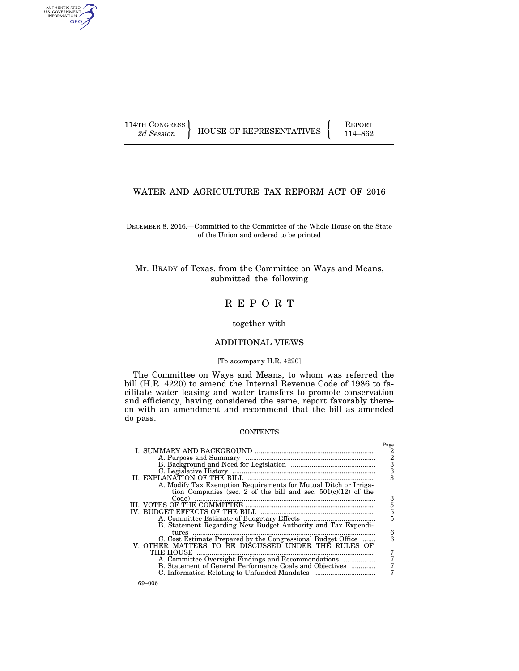AUTHENTICATED<br>U.S. GOVERNMENT<br>INFORMATION GPO

114TH CONGRESS HOUSE OF REPRESENTATIVES FEPORT 114–862

# WATER AND AGRICULTURE TAX REFORM ACT OF 2016

DECEMBER 8, 2016.—Committed to the Committee of the Whole House on the State of the Union and ordered to be printed

Mr. BRADY of Texas, from the Committee on Ways and Means, submitted the following

# R E P O R T

together with

## ADDITIONAL VIEWS

## [To accompany H.R. 4220]

The Committee on Ways and Means, to whom was referred the bill (H.R. 4220) to amend the Internal Revenue Code of 1986 to facilitate water leasing and water transfers to promote conservation and efficiency, having considered the same, report favorably thereon with an amendment and recommend that the bill as amended do pass.

## **CONTENTS**

|                                                                  | Page           |
|------------------------------------------------------------------|----------------|
|                                                                  | 2              |
|                                                                  |                |
|                                                                  | $\frac{2}{3}$  |
|                                                                  | $\overline{3}$ |
| II. EXPLANATION OF THE BILL                                      | 3              |
| A. Modify Tax Exemption Requirements for Mutual Ditch or Irriga- |                |
|                                                                  |                |
| tion Companies (sec. 2 of the bill and sec. $501(c)(12)$ of the  |                |
|                                                                  | 3              |
|                                                                  | $\frac{5}{5}$  |
| <b>BUDGET EFFECTS OF THE BILL</b>                                |                |
|                                                                  | 5              |
| B. Statement Regarding New Budget Authority and Tax Expendi-     |                |
| tures                                                            | 6              |
| C. Cost Estimate Prepared by the Congressional Budget Office     |                |
| V. OTHER MATTERS TO BE DISCUSSED UNDER THE RULES OF              |                |
| THE HOUSE                                                        | 7              |
| A. Committee Oversight Findings and Recommendations              | 7              |
| B. Statement of General Performance Goals and Objectives         | 7              |
|                                                                  |                |
|                                                                  |                |
| .                                                                |                |

69–006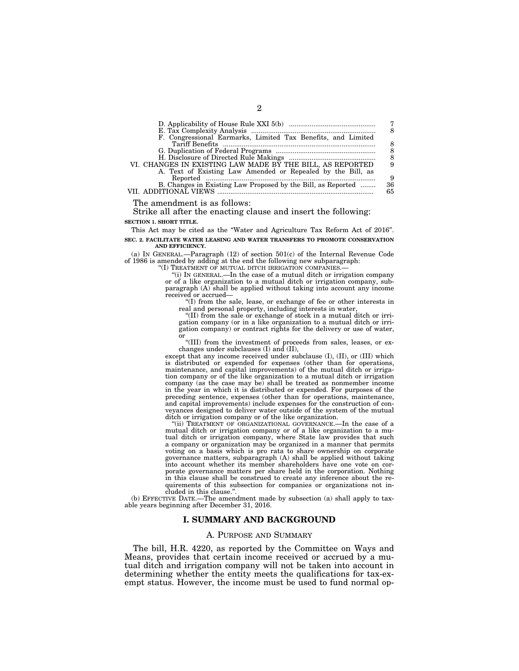| F. Congressional Earmarks, Limited Tax Benefits, and Limited |    |
|--------------------------------------------------------------|----|
|                                                              |    |
|                                                              | 8  |
|                                                              | 8  |
| VI. CHANGES IN EXISTING LAW MADE BY THE BILL, AS REPORTED    |    |
| A. Text of Existing Law Amended or Repealed by the Bill, as  |    |
|                                                              | 9  |
| B. Changes in Existing Law Proposed by the Bill, as Reported | 36 |
| ADDITIONAL VIEWS                                             | 65 |
|                                                              |    |

The amendment is as follows:

Strike all after the enacting clause and insert the following: **SECTION 1. SHORT TITLE.** 

This Act may be cited as the ''Water and Agriculture Tax Reform Act of 2016''.

**SEC. 2. FACILITATE WATER LEASING AND WATER TRANSFERS TO PROMOTE CONSERVATION AND EFFICIENCY.** 

(a) IN GENERAL.—Paragraph (12) of section 501(c) of the Internal Revenue Code of 1986 is amended by adding at the end the following new subparagraph:

"(I) TREATMENT OF MUTUAL DITCH IRRIGATION COMPANIES.

''(i) IN GENERAL.—In the case of a mutual ditch or irrigation company or of a like organization to a mutual ditch or irrigation company, subparagraph (A) shall be applied without taking into account any income received or accrued—

''(I) from the sale, lease, or exchange of fee or other interests in real and personal property, including interests in water,

''(II) from the sale or exchange of stock in a mutual ditch or irrigation company (or in a like organization to a mutual ditch or irrigation company) or contract rights for the delivery or use of water, or

''(III) from the investment of proceeds from sales, leases, or exchanges under subclauses (I) and (II),

except that any income received under subclause (I), (II), or (III) which is distributed or expended for expenses (other than for operations, maintenance, and capital improvements) of the mutual ditch or irrigation company or of the like organization to a mutual ditch or irrigation company (as the case may be) shall be treated as nonmember income in the year in which it is distributed or expended. For purposes of the preceding sentence, expenses (other than for operations, maintenance, and capital improvements) include expenses for the construction of conveyances designed to deliver water outside of the system of the mutual ditch or irrigation company or of the like organization.

''(ii) TREATMENT OF ORGANIZATIONAL GOVERNANCE.—In the case of a mutual ditch or irrigation company or of a like organization to a mutual ditch or irrigation company, where State law provides that such a company or organization may be organized in a manner that permits voting on a basis which is pro rata to share ownership on corporate governance matters, subparagraph  $(A)$  shall be applied without taking into account whether its member shareholders have one vote on corporate governance matters per share held in the corporation. Nothing in this clause shall be construed to create any inference about the requirements of this subsection for companies or organizations not included in this clause.''.

(b) EFFECTIVE DATE.—The amendment made by subsection (a) shall apply to taxable years beginning after December 31, 2016.

## **I. SUMMARY AND BACKGROUND**

## A. PURPOSE AND SUMMARY

The bill, H.R. 4220, as reported by the Committee on Ways and Means, provides that certain income received or accrued by a mutual ditch and irrigation company will not be taken into account in determining whether the entity meets the qualifications for tax-exempt status. However, the income must be used to fund normal op-

2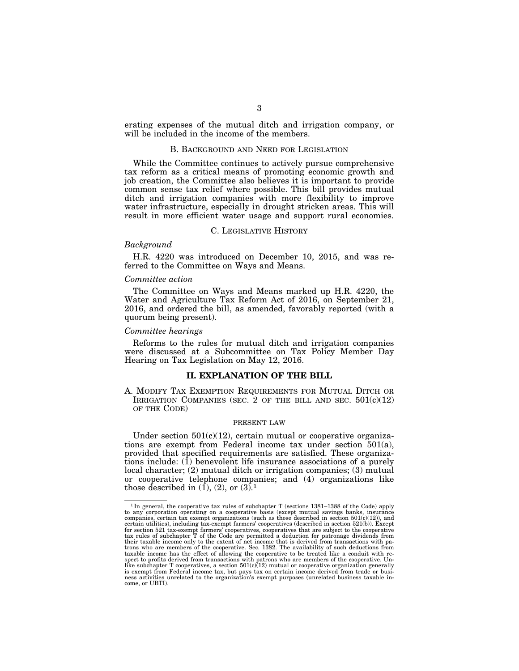erating expenses of the mutual ditch and irrigation company, or will be included in the income of the members.

#### B. BACKGROUND AND NEED FOR LEGISLATION

While the Committee continues to actively pursue comprehensive tax reform as a critical means of promoting economic growth and job creation, the Committee also believes it is important to provide common sense tax relief where possible. This bill provides mutual ditch and irrigation companies with more flexibility to improve water infrastructure, especially in drought stricken areas. This will result in more efficient water usage and support rural economies.

### C. LEGISLATIVE HISTORY

#### *Background*

H.R. 4220 was introduced on December 10, 2015, and was referred to the Committee on Ways and Means.

### *Committee action*

The Committee on Ways and Means marked up H.R. 4220, the Water and Agriculture Tax Reform Act of 2016, on September 21, 2016, and ordered the bill, as amended, favorably reported (with a quorum being present).

### *Committee hearings*

Reforms to the rules for mutual ditch and irrigation companies were discussed at a Subcommittee on Tax Policy Member Day Hearing on Tax Legislation on May 12, 2016.

### **II. EXPLANATION OF THE BILL**

A. MODIFY TAX EXEMPTION REQUIREMENTS FOR MUTUAL DITCH OR IRRIGATION COMPANIES (SEC. 2 OF THE BILL AND SEC.  $501(c)(12)$ ) OF THE CODE)

#### PRESENT LAW

Under section  $501(c)(12)$ , certain mutual or cooperative organizations are exempt from Federal income tax under section 501(a), provided that specified requirements are satisfied. These organizations include:  $(i)$  benevolent life insurance associations of a purely local character; (2) mutual ditch or irrigation companies; (3) mutual or cooperative telephone companies; and (4) organizations like those described in  $(1)$ ,  $(2)$ , or  $(3)$ .<sup>1</sup>

<sup>1</sup> In general, the cooperative tax rules of subchapter T (sections 1381–1388 of the Code) apply to any corporation operating on a cooperative basis (except mutual savings banks, insurance companies, certain tax exempt organizations (such as those described in section 501(c)(12)), and<br>certain utilities), including tax-exempt farmers' cooperatives (described in section 521(b)). Except<br>for section 521 tax-exem tax rules of subchapter T of the Code are permitted a deduction for patronage dividends from<br>their taxable income only to the extent of net income that is derived from transactions with pa-<br>trons who are members of the coo taxable income has the effect of allowing the cooperative to be treated like a conduit with re-<br>spect to profits derived from transactions with patrons who are members of the cooperative. Un-<br>like subchapter T cooperatives is exempt from Federal income tax, but pays tax on certain income derived from trade or busi-ness activities unrelated to the organization's exempt purposes (unrelated business taxable income, or UBTI).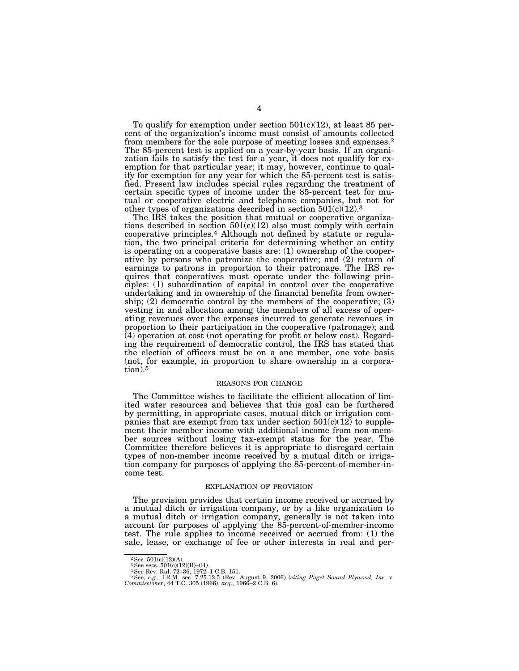To qualify for exemption under section  $501(c)(12)$ , at least 85 percent of the organization's income must consist of amounts collected from members for the sole purpose of meeting losses and expenses.2 The 85-percent test is applied on a year-by-year basis. If an organization fails to satisfy the test for a year, it does not qualify for exemption for that particular year; it may, however, continue to qualify for exemption for any year for which the 85-percent test is satisfied. Present law includes special rules regarding the treatment of certain specific types of income under the 85-percent test for mutual or cooperative electric and telephone companies, but not for other types of organizations described in section  $501(c)(12).3$ 

The IRS takes the position that mutual or cooperative organizations described in section  $501(c)(12)$  also must comply with certain cooperative principles.4 Although not defined by statute or regulation, the two principal criteria for determining whether an entity is operating on a cooperative basis are: (1) ownership of the cooperative by persons who patronize the cooperative; and (2) return of earnings to patrons in proportion to their patronage. The IRS requires that cooperatives must operate under the following principles: (1) subordination of capital in control over the cooperative undertaking and in ownership of the financial benefits from ownership; (2) democratic control by the members of the cooperative; (3) vesting in and allocation among the members of all excess of operating revenues over the expenses incurred to generate revenues in proportion to their participation in the cooperative (patronage); and (4) operation at cost (not operating for profit or below cost). Regarding the requirement of democratic control, the IRS has stated that the election of officers must be on a one member, one vote basis (not, for example, in proportion to share ownership in a corporation).5

#### REASONS FOR CHANGE

The Committee wishes to facilitate the efficient allocation of limited water resources and believes that this goal can be furthered by permitting, in appropriate cases, mutual ditch or irrigation companies that are exempt from tax under section  $501(c)(12)$  to supplement their member income with additional income from non-member sources without losing tax-exempt status for the year. The Committee therefore believes it is appropriate to disregard certain types of non-member income received by a mutual ditch or irrigation company for purposes of applying the 85-percent-of-member-income test.

#### EXPLANATION OF PROVISION

The provision provides that certain income received or accrued by a mutual ditch or irrigation company, or by a like organization to a mutual ditch or irrigation company, generally is not taken into account for purposes of applying the 85-percent-of-member-income test. The rule applies to income received or accrued from: (1) the sale, lease, or exchange of fee or other interests in real and per-

 $2$  Sec.  $501(c)(12)(A)$ .

<sup>3</sup>See secs. 501(c)(12)(B)–(H).

<sup>4</sup>See Rev. Rul. 72–36, 1972–1 C.B. 151. 5See, *e.g.,* I.R.M. sec. 7.25.12.5 (Rev. August 9, 2006) (*citing Puget Sound Plywood, Inc.* v. *Commissioner*, 44 T.C. 305 (1966), *acq.,* 1966–2 C.B. 6).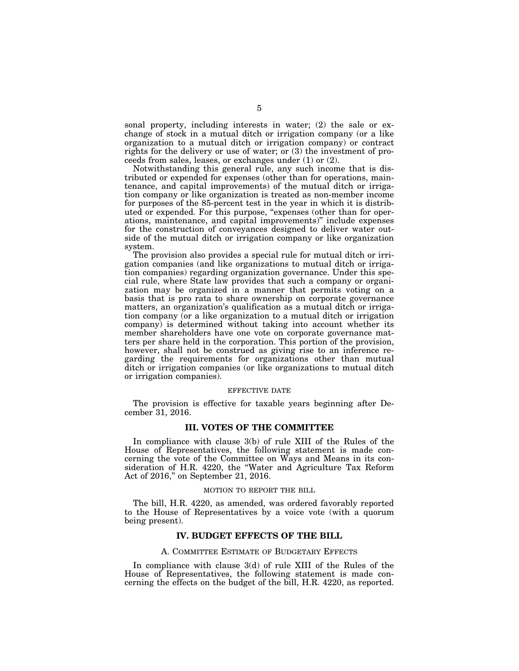sonal property, including interests in water; (2) the sale or exchange of stock in a mutual ditch or irrigation company (or a like organization to a mutual ditch or irrigation company) or contract rights for the delivery or use of water; or (3) the investment of proceeds from sales, leases, or exchanges under (1) or (2).

Notwithstanding this general rule, any such income that is distributed or expended for expenses (other than for operations, maintenance, and capital improvements) of the mutual ditch or irrigation company or like organization is treated as non-member income for purposes of the 85-percent test in the year in which it is distributed or expended. For this purpose, "expenses (other than for operations, maintenance, and capital improvements)'' include expenses for the construction of conveyances designed to deliver water outside of the mutual ditch or irrigation company or like organization system.

The provision also provides a special rule for mutual ditch or irrigation companies (and like organizations to mutual ditch or irrigation companies) regarding organization governance. Under this special rule, where State law provides that such a company or organization may be organized in a manner that permits voting on a basis that is pro rata to share ownership on corporate governance matters, an organization's qualification as a mutual ditch or irrigation company (or a like organization to a mutual ditch or irrigation company) is determined without taking into account whether its member shareholders have one vote on corporate governance matters per share held in the corporation. This portion of the provision, however, shall not be construed as giving rise to an inference regarding the requirements for organizations other than mutual ditch or irrigation companies (or like organizations to mutual ditch or irrigation companies).

## EFFECTIVE DATE

The provision is effective for taxable years beginning after December 31, 2016.

## **III. VOTES OF THE COMMITTEE**

In compliance with clause 3(b) of rule XIII of the Rules of the House of Representatives, the following statement is made concerning the vote of the Committee on Ways and Means in its consideration of H.R. 4220, the ''Water and Agriculture Tax Reform Act of 2016,'' on September 21, 2016.

#### MOTION TO REPORT THE BILL

The bill, H.R. 4220, as amended, was ordered favorably reported to the House of Representatives by a voice vote (with a quorum being present).

## **IV. BUDGET EFFECTS OF THE BILL**

#### A. COMMITTEE ESTIMATE OF BUDGETARY EFFECTS

In compliance with clause 3(d) of rule XIII of the Rules of the House of Representatives, the following statement is made concerning the effects on the budget of the bill, H.R. 4220, as reported.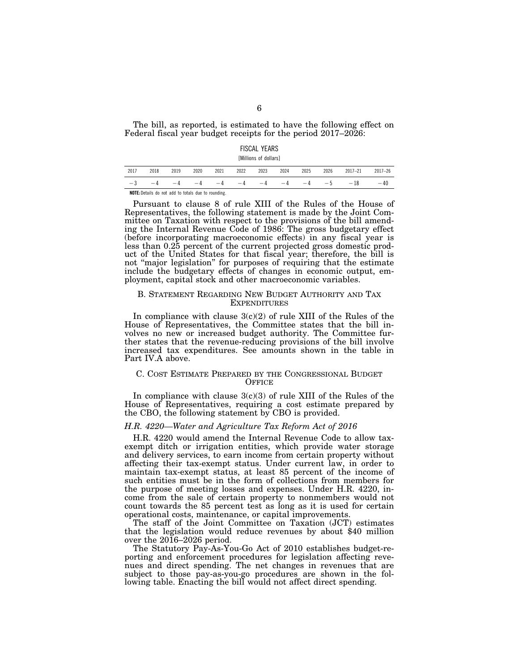The bill, as reported, is estimated to have the following effect on Federal fiscal year budget receipts for the period 2017–2026:

## FISCAL YEARS

[Millions of dollars]

| 2017                                                       | 2018 | 2019 | 2020 | 2021 | 2022 | 2023 | 2024 | 2025 | 2026 | $2017 - 21$ | $2017 - 26$ |
|------------------------------------------------------------|------|------|------|------|------|------|------|------|------|-------------|-------------|
| $-3$                                                       | $-4$ | $-4$ | $-4$ | $-4$ | $-4$ | $-4$ | $-4$ | $-4$ | $-5$ | $-18$       | $-40$       |
| <b>NOTE:</b> Details do not add to totals due to rounding. |      |      |      |      |      |      |      |      |      |             |             |

Pursuant to clause 8 of rule XIII of the Rules of the House of Representatives, the following statement is made by the Joint Committee on Taxation with respect to the provisions of the bill amending the Internal Revenue Code of 1986: The gross budgetary effect (before incorporating macroeconomic effects) in any fiscal year is less than 0.25 percent of the current projected gross domestic product of the United States for that fiscal year; therefore, the bill is not "major legislation" for purposes of requiring that the estimate include the budgetary effects of changes in economic output, employment, capital stock and other macroeconomic variables.

## B. STATEMENT REGARDING NEW BUDGET AUTHORITY AND TAX **EXPENDITURES**

In compliance with clause  $3(c)(2)$  of rule XIII of the Rules of the House of Representatives, the Committee states that the bill involves no new or increased budget authority. The Committee further states that the revenue-reducing provisions of the bill involve increased tax expenditures. See amounts shown in the table in Part IV.A above.

## C. COST ESTIMATE PREPARED BY THE CONGRESSIONAL BUDGET **OFFICE**

In compliance with clause  $3(c)(3)$  of rule XIII of the Rules of the House of Representatives, requiring a cost estimate prepared by the CBO, the following statement by CBO is provided.

## *H.R. 4220—Water and Agriculture Tax Reform Act of 2016*

H.R. 4220 would amend the Internal Revenue Code to allow taxexempt ditch or irrigation entities, which provide water storage and delivery services, to earn income from certain property without affecting their tax-exempt status. Under current law, in order to maintain tax-exempt status, at least 85 percent of the income of such entities must be in the form of collections from members for the purpose of meeting losses and expenses. Under H.R. 4220, income from the sale of certain property to nonmembers would not count towards the 85 percent test as long as it is used for certain operational costs, maintenance, or capital improvements.

The staff of the Joint Committee on Taxation (JCT) estimates that the legislation would reduce revenues by about \$40 million over the 2016–2026 period.

The Statutory Pay-As-You-Go Act of 2010 establishes budget-reporting and enforcement procedures for legislation affecting revenues and direct spending. The net changes in revenues that are subject to those pay-as-you-go procedures are shown in the following table. Enacting the bill would not affect direct spending.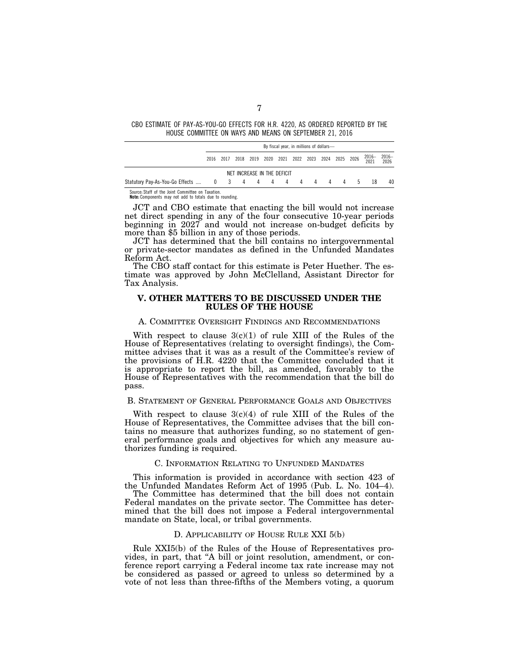CBO ESTIMATE OF PAY-AS-YOU-GO EFFECTS FOR H.R. 4220, AS ORDERED REPORTED BY THE HOUSE COMMITTEE ON WAYS AND MEANS ON SEPTEMBER 21, 2016

| By fiscal year, in millions of dollars- |  |  |  |  |  |  |                             |  |  |  |                                                   |                                                          |
|-----------------------------------------|--|--|--|--|--|--|-----------------------------|--|--|--|---------------------------------------------------|----------------------------------------------------------|
| 2016                                    |  |  |  |  |  |  |                             |  |  |  | 2016-<br>2021                                     | $2016 -$<br>2026                                         |
|                                         |  |  |  |  |  |  |                             |  |  |  |                                                   |                                                          |
|                                         |  |  |  |  |  |  |                             |  |  |  |                                                   | 40                                                       |
|                                         |  |  |  |  |  |  | NET INCREASE IN THE DEFICIT |  |  |  | 2017 2018 2019 2020 2021 2022 2023 2024 2025 2026 | Statutory Pay-As-You-Go Effects  0 3 4 4 4 4 4 4 4 4 4 5 |

Source: Staff of the Joint Committee on Taxation. **Note:** Components may not add to totals due to rounding.

JCT and CBO estimate that enacting the bill would not increase net direct spending in any of the four consecutive 10-year periods beginning in 2027 and would not increase on-budget deficits by more than \$5 billion in any of those periods.

JCT has determined that the bill contains no intergovernmental or private-sector mandates as defined in the Unfunded Mandates Reform Act.

The CBO staff contact for this estimate is Peter Huether. The estimate was approved by John McClelland, Assistant Director for Tax Analysis.

## **V. OTHER MATTERS TO BE DISCUSSED UNDER THE RULES OF THE HOUSE**

#### A. COMMITTEE OVERSIGHT FINDINGS AND RECOMMENDATIONS

With respect to clause  $3(c)(1)$  of rule XIII of the Rules of the House of Representatives (relating to oversight findings), the Committee advises that it was as a result of the Committee's review of the provisions of H.R. 4220 that the Committee concluded that it is appropriate to report the bill, as amended, favorably to the House of Representatives with the recommendation that the bill do pass.

## B. STATEMENT OF GENERAL PERFORMANCE GOALS AND OBJECTIVES

With respect to clause  $3(c)(4)$  of rule XIII of the Rules of the House of Representatives, the Committee advises that the bill contains no measure that authorizes funding, so no statement of general performance goals and objectives for which any measure authorizes funding is required.

## C. INFORMATION RELATING TO UNFUNDED MANDATES

This information is provided in accordance with section 423 of the Unfunded Mandates Reform Act of 1995 (Pub. L. No. 104–4).

The Committee has determined that the bill does not contain Federal mandates on the private sector. The Committee has determined that the bill does not impose a Federal intergovernmental mandate on State, local, or tribal governments.

#### D. APPLICABILITY OF HOUSE RULE XXI 5(b)

Rule XXI5(b) of the Rules of the House of Representatives provides, in part, that ''A bill or joint resolution, amendment, or conference report carrying a Federal income tax rate increase may not be considered as passed or agreed to unless so determined by a vote of not less than three-fifths of the Members voting, a quorum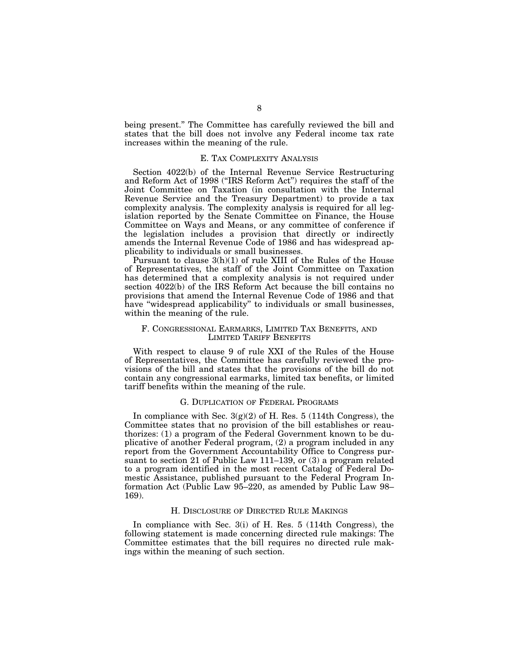being present.'' The Committee has carefully reviewed the bill and states that the bill does not involve any Federal income tax rate increases within the meaning of the rule.

## E. TAX COMPLEXITY ANALYSIS

Section 4022(b) of the Internal Revenue Service Restructuring and Reform Act of 1998 (''IRS Reform Act'') requires the staff of the Joint Committee on Taxation (in consultation with the Internal Revenue Service and the Treasury Department) to provide a tax complexity analysis. The complexity analysis is required for all legislation reported by the Senate Committee on Finance, the House Committee on Ways and Means, or any committee of conference if the legislation includes a provision that directly or indirectly amends the Internal Revenue Code of 1986 and has widespread applicability to individuals or small businesses.

Pursuant to clause 3(h)(1) of rule XIII of the Rules of the House of Representatives, the staff of the Joint Committee on Taxation has determined that a complexity analysis is not required under section 4022(b) of the IRS Reform Act because the bill contains no provisions that amend the Internal Revenue Code of 1986 and that have ''widespread applicability'' to individuals or small businesses, within the meaning of the rule.

## F. CONGRESSIONAL EARMARKS, LIMITED TAX BENEFITS, AND LIMITED TARIFF BENEFITS

With respect to clause 9 of rule XXI of the Rules of the House of Representatives, the Committee has carefully reviewed the provisions of the bill and states that the provisions of the bill do not contain any congressional earmarks, limited tax benefits, or limited tariff benefits within the meaning of the rule.

### G. DUPLICATION OF FEDERAL PROGRAMS

In compliance with Sec.  $3(g)(2)$  of H. Res. 5 (114th Congress), the Committee states that no provision of the bill establishes or reauthorizes: (1) a program of the Federal Government known to be duplicative of another Federal program, (2) a program included in any report from the Government Accountability Office to Congress pursuant to section 21 of Public Law 111–139, or (3) a program related to a program identified in the most recent Catalog of Federal Domestic Assistance, published pursuant to the Federal Program Information Act (Public Law 95–220, as amended by Public Law 98– 169).

#### H. DISCLOSURE OF DIRECTED RULE MAKINGS

In compliance with Sec. 3(i) of H. Res. 5 (114th Congress), the following statement is made concerning directed rule makings: The Committee estimates that the bill requires no directed rule makings within the meaning of such section.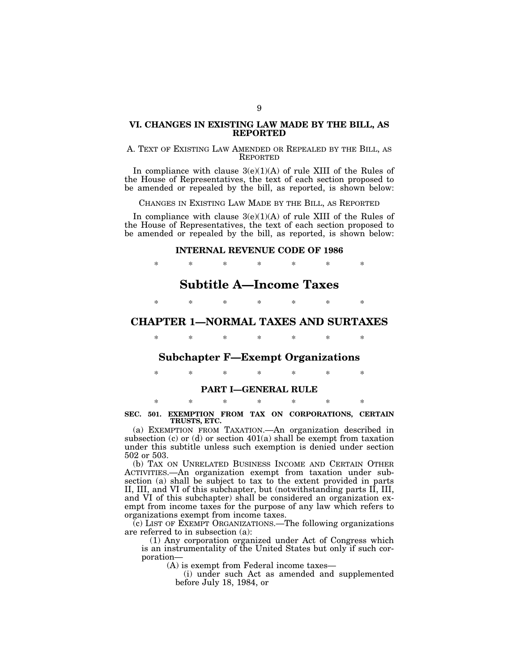## **VI. CHANGES IN EXISTING LAW MADE BY THE BILL, AS REPORTED**

## A. TEXT OF EXISTING LAW AMENDED OR REPEALED BY THE BILL, AS REPORTED

In compliance with clause  $3(e)(1)(A)$  of rule XIII of the Rules of the House of Representatives, the text of each section proposed to be amended or repealed by the bill, as reported, is shown below:

CHANGES IN EXISTING LAW MADE BY THE BILL, AS REPORTED

In compliance with clause  $3(e)(1)(A)$  of rule XIII of the Rules of the House of Representatives, the text of each section proposed to be amended or repealed by the bill, as reported, is shown below:

### **INTERNAL REVENUE CODE OF 1986**

\* \* \* \* \* \* \* **Subtitle A—Income Taxes** 

\* \* \* \* \* \* \*

# **CHAPTER 1—NORMAL TAXES AND SURTAXES**

\* \* \* \* \* \* \*

## **Subchapter F—Exempt Organizations**

\* \* \* \* \* \* \*

## **PART I—GENERAL RULE**

## \* \* \* \* \* \* \* **SEC. 501. EXEMPTION FROM TAX ON CORPORATIONS, CERTAIN TRUSTS, ETC.**

(a) EXEMPTION FROM TAXATION.—An organization described in subsection (c) or (d) or section  $401(a)$  shall be exempt from taxation under this subtitle unless such exemption is denied under section 502 or 503.

(b) TAX ON UNRELATED BUSINESS INCOME AND CERTAIN OTHER ACTIVITIES.—An organization exempt from taxation under subsection (a) shall be subject to tax to the extent provided in parts II, III, and VI of this subchapter, but (notwithstanding parts II, III, and VI of this subchapter) shall be considered an organization exempt from income taxes for the purpose of any law which refers to organizations exempt from income taxes.

(c) LIST OF EXEMPT ORGANIZATIONS.—The following organizations are referred to in subsection (a):

(1) Any corporation organized under Act of Congress which is an instrumentality of the United States but only if such corporation—

(A) is exempt from Federal income taxes—

(i) under such Act as amended and supplemented before July 18, 1984, or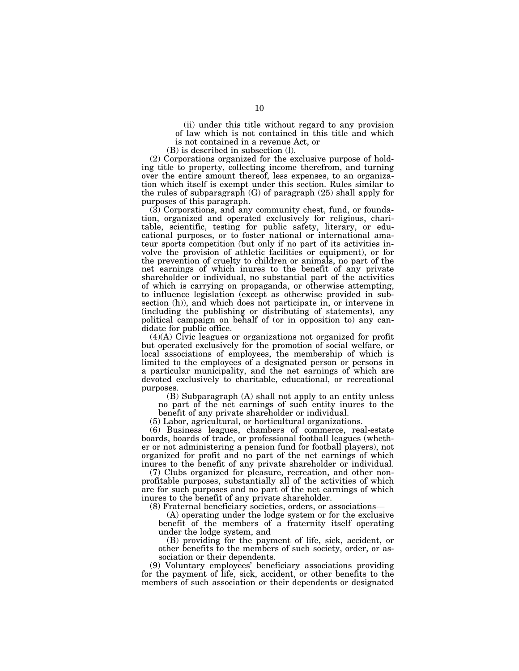(ii) under this title without regard to any provision of law which is not contained in this title and which is not contained in a revenue Act, or

(B) is described in subsection (l).

(2) Corporations organized for the exclusive purpose of holding title to property, collecting income therefrom, and turning over the entire amount thereof, less expenses, to an organization which itself is exempt under this section. Rules similar to the rules of subparagraph (G) of paragraph (25) shall apply for purposes of this paragraph.

(3) Corporations, and any community chest, fund, or foundation, organized and operated exclusively for religious, charitable, scientific, testing for public safety, literary, or educational purposes, or to foster national or international amateur sports competition (but only if no part of its activities involve the provision of athletic facilities or equipment), or for the prevention of cruelty to children or animals, no part of the net earnings of which inures to the benefit of any private shareholder or individual, no substantial part of the activities of which is carrying on propaganda, or otherwise attempting, to influence legislation (except as otherwise provided in subsection (h)), and which does not participate in, or intervene in (including the publishing or distributing of statements), any political campaign on behalf of (or in opposition to) any candidate for public office.

(4)(A) Civic leagues or organizations not organized for profit but operated exclusively for the promotion of social welfare, or local associations of employees, the membership of which is limited to the employees of a designated person or persons in a particular municipality, and the net earnings of which are devoted exclusively to charitable, educational, or recreational purposes.

(B) Subparagraph (A) shall not apply to an entity unless no part of the net earnings of such entity inures to the benefit of any private shareholder or individual.

(5) Labor, agricultural, or horticultural organizations.

(6) Business leagues, chambers of commerce, real-estate boards, boards of trade, or professional football leagues (whether or not administering a pension fund for football players), not organized for profit and no part of the net earnings of which inures to the benefit of any private shareholder or individual.

(7) Clubs organized for pleasure, recreation, and other nonprofitable purposes, substantially all of the activities of which are for such purposes and no part of the net earnings of which inures to the benefit of any private shareholder.

(8) Fraternal beneficiary societies, orders, or associations—

(A) operating under the lodge system or for the exclusive benefit of the members of a fraternity itself operating under the lodge system, and

(B) providing for the payment of life, sick, accident, or other benefits to the members of such society, order, or association or their dependents.

(9) Voluntary employees' beneficiary associations providing for the payment of life, sick, accident, or other benefits to the members of such association or their dependents or designated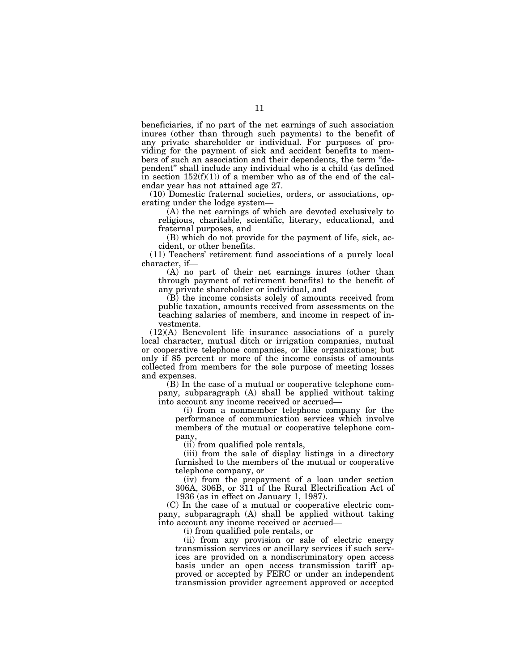beneficiaries, if no part of the net earnings of such association inures (other than through such payments) to the benefit of any private shareholder or individual. For purposes of providing for the payment of sick and accident benefits to members of such an association and their dependents, the term ''dependent'' shall include any individual who is a child (as defined in section  $152(f)(1)$  of a member who as of the end of the calendar year has not attained age 27.

(10) Domestic fraternal societies, orders, or associations, operating under the lodge system—

(A) the net earnings of which are devoted exclusively to religious, charitable, scientific, literary, educational, and fraternal purposes, and

(B) which do not provide for the payment of life, sick, accident, or other benefits.

(11) Teachers' retirement fund associations of a purely local character, if—

(A) no part of their net earnings inures (other than through payment of retirement benefits) to the benefit of any private shareholder or individual, and

(B) the income consists solely of amounts received from public taxation, amounts received from assessments on the teaching salaries of members, and income in respect of investments.

(12)(A) Benevolent life insurance associations of a purely local character, mutual ditch or irrigation companies, mutual or cooperative telephone companies, or like organizations; but only if 85 percent or more of the income consists of amounts collected from members for the sole purpose of meeting losses and expenses.

(B) In the case of a mutual or cooperative telephone company, subparagraph (A) shall be applied without taking into account any income received or accrued—

(i) from a nonmember telephone company for the performance of communication services which involve members of the mutual or cooperative telephone company,

(ii) from qualified pole rentals,

(iii) from the sale of display listings in a directory furnished to the members of the mutual or cooperative telephone company, or

(iv) from the prepayment of a loan under section 306A, 306B, or 311 of the Rural Electrification Act of 1936 (as in effect on January 1, 1987).

(C) In the case of a mutual or cooperative electric company, subparagraph (A) shall be applied without taking into account any income received or accrued—

(i) from qualified pole rentals, or

(ii) from any provision or sale of electric energy transmission services or ancillary services if such services are provided on a nondiscriminatory open access basis under an open access transmission tariff approved or accepted by FERC or under an independent transmission provider agreement approved or accepted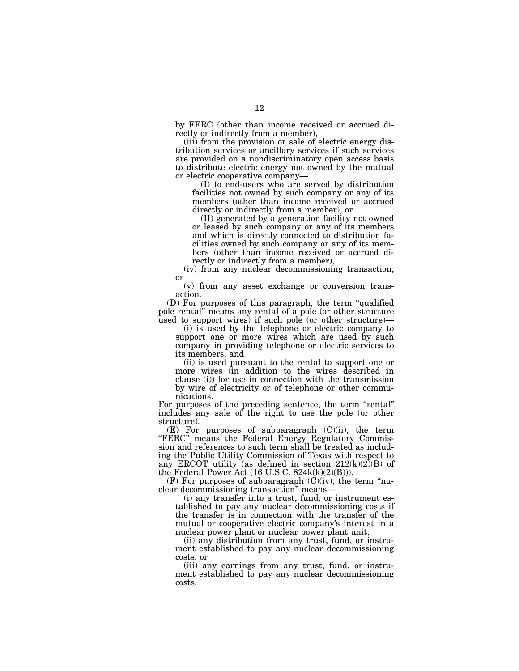by FERC (other than income received or accrued directly or indirectly from a member),

(iii) from the provision or sale of electric energy distribution services or ancillary services if such services are provided on a nondiscriminatory open access basis to distribute electric energy not owned by the mutual or electric cooperative company—

(I) to end-users who are served by distribution facilities not owned by such company or any of its members (other than income received or accrued directly or indirectly from a member), or

(II) generated by a generation facility not owned or leased by such company or any of its members and which is directly connected to distribution facilities owned by such company or any of its members (other than income received or accrued directly or indirectly from a member),

(iv) from any nuclear decommissioning transaction, or

(v) from any asset exchange or conversion transaction.

(D) For purposes of this paragraph, the term ''qualified pole rental'' means any rental of a pole (or other structure used to support wires) if such pole (or other structure)—

(i) is used by the telephone or electric company to support one or more wires which are used by such company in providing telephone or electric services to its members, and

(ii) is used pursuant to the rental to support one or more wires (in addition to the wires described in clause (i)) for use in connection with the transmission by wire of electricity or of telephone or other communications.

For purposes of the preceding sentence, the term "rental" includes any sale of the right to use the pole (or other structure).

(E) For purposes of subparagraph (C)(ii), the term "FERC" means the Federal Energy Regulatory Commission and references to such term shall be treated as including the Public Utility Commission of Texas with respect to any ERCOT utility (as defined in section  $212(k)(2)(B)$  of the Federal Power Act (16 U.S.C. 824k(k)(2)(B))).

 $(F)$  For purposes of subparagraph  $(C)(iv)$ , the term "nuclear decommissioning transaction'' means—

(i) any transfer into a trust, fund, or instrument established to pay any nuclear decommissioning costs if the transfer is in connection with the transfer of the mutual or cooperative electric company's interest in a nuclear power plant or nuclear power plant unit,

(ii) any distribution from any trust, fund, or instrument established to pay any nuclear decommissioning costs, or

(iii) any earnings from any trust, fund, or instrument established to pay any nuclear decommissioning costs.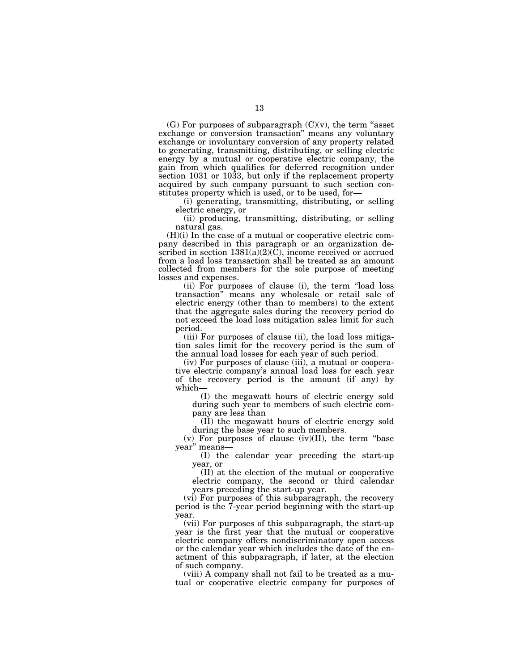(G) For purposes of subparagraph  $(C)(v)$ , the term "asset" exchange or conversion transaction'' means any voluntary exchange or involuntary conversion of any property related to generating, transmitting, distributing, or selling electric energy by a mutual or cooperative electric company, the gain from which qualifies for deferred recognition under section 1031 or 1033, but only if the replacement property acquired by such company pursuant to such section constitutes property which is used, or to be used, for—

(i) generating, transmitting, distributing, or selling electric energy, or

(ii) producing, transmitting, distributing, or selling natural gas.

(H)(i) In the case of a mutual or cooperative electric company described in this paragraph or an organization described in section  $1381(a)(2)(C)$ , income received or accrued from a load loss transaction shall be treated as an amount collected from members for the sole purpose of meeting losses and expenses.

(ii) For purposes of clause (i), the term ''load loss transaction'' means any wholesale or retail sale of electric energy (other than to members) to the extent that the aggregate sales during the recovery period do not exceed the load loss mitigation sales limit for such period.

(iii) For purposes of clause (ii), the load loss mitigation sales limit for the recovery period is the sum of the annual load losses for each year of such period.

(iv) For purposes of clause (iii), a mutual or cooperative electric company's annual load loss for each year of the recovery period is the amount (if any) by which—

(I) the megawatt hours of electric energy sold during such year to members of such electric company are less than

(II) the megawatt hours of electric energy sold during the base year to such members.

 $(v)$  For purposes of clause  $(iv)(II)$ , the term "base year'' means—

(I) the calendar year preceding the start-up year, or

(II) at the election of the mutual or cooperative electric company, the second or third calendar years preceding the start-up year.

(vi) For purposes of this subparagraph, the recovery period is the 7-year period beginning with the start-up year.

(vii) For purposes of this subparagraph, the start-up year is the first year that the mutual or cooperative electric company offers nondiscriminatory open access or the calendar year which includes the date of the enactment of this subparagraph, if later, at the election of such company.

(viii) A company shall not fail to be treated as a mutual or cooperative electric company for purposes of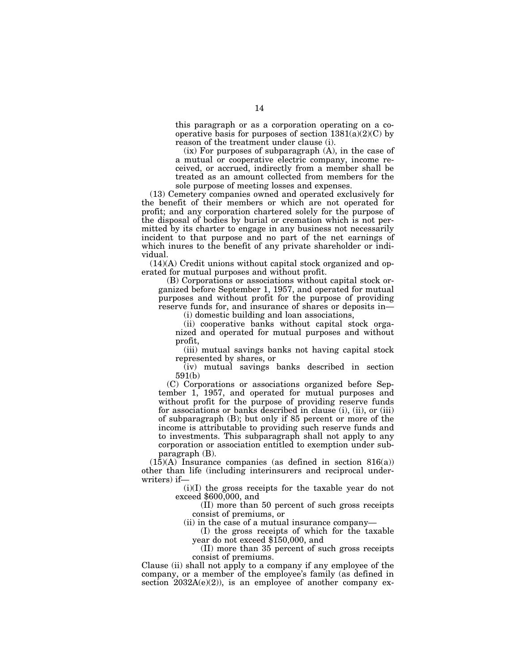this paragraph or as a corporation operating on a cooperative basis for purposes of section  $1381(a)(2)(C)$  by reason of the treatment under clause (i).

 $(ix)$  For purposes of subparagraph  $(A)$ , in the case of a mutual or cooperative electric company, income received, or accrued, indirectly from a member shall be treated as an amount collected from members for the sole purpose of meeting losses and expenses.

(13) Cemetery companies owned and operated exclusively for the benefit of their members or which are not operated for profit; and any corporation chartered solely for the purpose of the disposal of bodies by burial or cremation which is not permitted by its charter to engage in any business not necessarily incident to that purpose and no part of the net earnings of which inures to the benefit of any private shareholder or individual.

(14)(A) Credit unions without capital stock organized and operated for mutual purposes and without profit.

(B) Corporations or associations without capital stock organized before September 1, 1957, and operated for mutual purposes and without profit for the purpose of providing reserve funds for, and insurance of shares or deposits in—

(i) domestic building and loan associations,

(ii) cooperative banks without capital stock organized and operated for mutual purposes and without profit,

(iii) mutual savings banks not having capital stock represented by shares, or

(iv) mutual savings banks described in section 591(b)

(C) Corporations or associations organized before September 1, 1957, and operated for mutual purposes and without profit for the purpose of providing reserve funds for associations or banks described in clause (i), (ii), or (iii) of subparagraph (B); but only if 85 percent or more of the income is attributable to providing such reserve funds and to investments. This subparagraph shall not apply to any corporation or association entitled to exemption under subparagraph (B).

 $(15)(A)$  Insurance companies (as defined in section 816(a)) other than life (including interinsurers and reciprocal underwriters) if—

(i)(I) the gross receipts for the taxable year do not exceed \$600,000, and

(II) more than 50 percent of such gross receipts consist of premiums, or

(ii) in the case of a mutual insurance company—

(I) the gross receipts of which for the taxable year do not exceed \$150,000, and

(II) more than 35 percent of such gross receipts consist of premiums.

Clause (ii) shall not apply to a company if any employee of the company, or a member of the employee's family (as defined in section  $2032A(e)(2)$ , is an employee of another company ex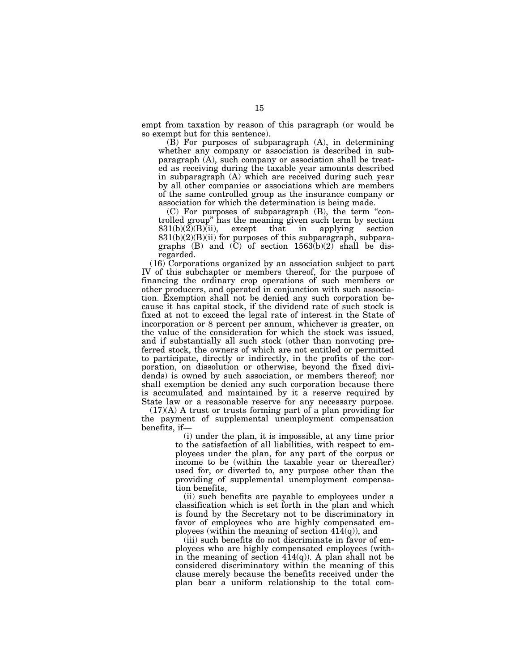empt from taxation by reason of this paragraph (or would be so exempt but for this sentence).

(B) For purposes of subparagraph (A), in determining whether any company or association is described in subparagraph (A), such company or association shall be treated as receiving during the taxable year amounts described in subparagraph (A) which are received during such year by all other companies or associations which are members of the same controlled group as the insurance company or association for which the determination is being made.

(C) For purposes of subparagraph (B), the term ''controlled group'' has the meaning given such term by section 831(b)(2)(B)(ii), except that in applying section  $831(b)(2)(B)(ii)$  for purposes of this subparagraph, subparagraphs (B) and (C) of section  $1563(b)(2)$  shall be disregarded.

(16) Corporations organized by an association subject to part IV of this subchapter or members thereof, for the purpose of financing the ordinary crop operations of such members or other producers, and operated in conjunction with such association. Exemption shall not be denied any such corporation because it has capital stock, if the dividend rate of such stock is fixed at not to exceed the legal rate of interest in the State of incorporation or 8 percent per annum, whichever is greater, on the value of the consideration for which the stock was issued, and if substantially all such stock (other than nonvoting preferred stock, the owners of which are not entitled or permitted to participate, directly or indirectly, in the profits of the corporation, on dissolution or otherwise, beyond the fixed dividends) is owned by such association, or members thereof; nor shall exemption be denied any such corporation because there is accumulated and maintained by it a reserve required by State law or a reasonable reserve for any necessary purpose.

(17)(A) A trust or trusts forming part of a plan providing for the payment of supplemental unemployment compensation benefits, if—

> (i) under the plan, it is impossible, at any time prior to the satisfaction of all liabilities, with respect to employees under the plan, for any part of the corpus or income to be (within the taxable year or thereafter) used for, or diverted to, any purpose other than the providing of supplemental unemployment compensation benefits,

> (ii) such benefits are payable to employees under a classification which is set forth in the plan and which is found by the Secretary not to be discriminatory in favor of employees who are highly compensated employees (within the meaning of section 414(q)), and

> (iii) such benefits do not discriminate in favor of employees who are highly compensated employees (within the meaning of section  $414(q)$ ). A plan shall not be considered discriminatory within the meaning of this clause merely because the benefits received under the plan bear a uniform relationship to the total com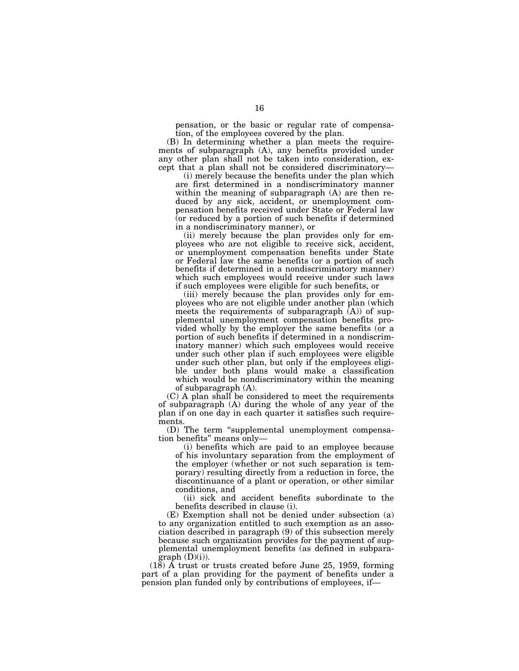pensation, or the basic or regular rate of compensation, of the employees covered by the plan.

(B) In determining whether a plan meets the requirements of subparagraph (A), any benefits provided under any other plan shall not be taken into consideration, except that a plan shall not be considered discriminatory—

(i) merely because the benefits under the plan which are first determined in a nondiscriminatory manner within the meaning of subparagraph (A) are then reduced by any sick, accident, or unemployment compensation benefits received under State or Federal law (or reduced by a portion of such benefits if determined in a nondiscriminatory manner), or

(ii) merely because the plan provides only for employees who are not eligible to receive sick, accident, or unemployment compensation benefits under State or Federal law the same benefits (or a portion of such benefits if determined in a nondiscriminatory manner) which such employees would receive under such laws if such employees were eligible for such benefits, or

(iii) merely because the plan provides only for employees who are not eligible under another plan (which meets the requirements of subparagraph  $(A)$ ) of supplemental unemployment compensation benefits provided wholly by the employer the same benefits (or a portion of such benefits if determined in a nondiscriminatory manner) which such employees would receive under such other plan if such employees were eligible under such other plan, but only if the employees eligible under both plans would make a classification which would be nondiscriminatory within the meaning of subparagraph (A).

(C) A plan shall be considered to meet the requirements of subparagraph (A) during the whole of any year of the plan if on one day in each quarter it satisfies such requirements.

(D) The term ''supplemental unemployment compensation benefits'' means only—

(i) benefits which are paid to an employee because of his involuntary separation from the employment of the employer (whether or not such separation is temporary) resulting directly from a reduction in force, the discontinuance of a plant or operation, or other similar conditions, and

(ii) sick and accident benefits subordinate to the benefits described in clause (i).

(E) Exemption shall not be denied under subsection (a) to any organization entitled to such exemption as an association described in paragraph (9) of this subsection merely because such organization provides for the payment of supplemental unemployment benefits (as defined in subpara $graph$  (D)(i)).

(18) A trust or trusts created before June 25, 1959, forming part of a plan providing for the payment of benefits under a pension plan funded only by contributions of employees, if—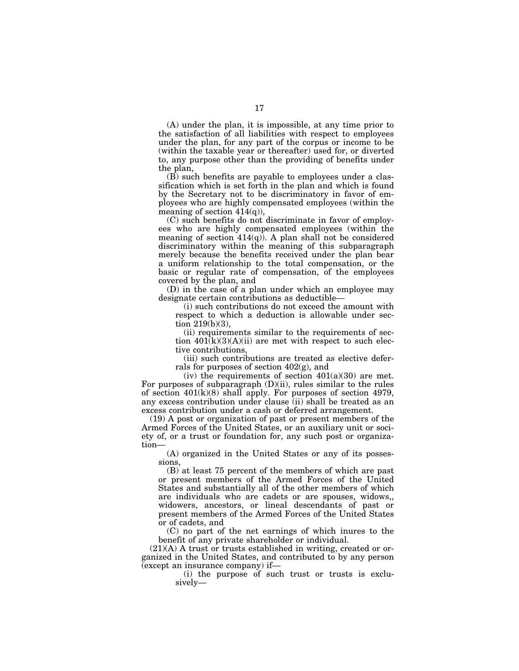(A) under the plan, it is impossible, at any time prior to the satisfaction of all liabilities with respect to employees under the plan, for any part of the corpus or income to be (within the taxable year or thereafter) used for, or diverted to, any purpose other than the providing of benefits under the plan,

(B) such benefits are payable to employees under a classification which is set forth in the plan and which is found by the Secretary not to be discriminatory in favor of employees who are highly compensated employees (within the meaning of section 414(q)),

(C) such benefits do not discriminate in favor of employees who are highly compensated employees (within the meaning of section  $414(q)$ ). A plan shall not be considered discriminatory within the meaning of this subparagraph merely because the benefits received under the plan bear a uniform relationship to the total compensation, or the basic or regular rate of compensation, of the employees covered by the plan, and

(D) in the case of a plan under which an employee may designate certain contributions as deductible—

(i) such contributions do not exceed the amount with respect to which a deduction is allowable under section 219(b)(3),

(ii) requirements similar to the requirements of section  $401(k)(3)(A)(ii)$  are met with respect to such elective contributions,

(iii) such contributions are treated as elective deferrals for purposes of section 402(g), and

(iv) the requirements of section  $401(a)(30)$  are met. For purposes of subparagraph  $(D)(ii)$ , rules similar to the rules of section  $401(k)(8)$  shall apply. For purposes of section 4979, any excess contribution under clause (ii) shall be treated as an excess contribution under a cash or deferred arrangement.

(19) A post or organization of past or present members of the Armed Forces of the United States, or an auxiliary unit or society of, or a trust or foundation for, any such post or organization—

(A) organized in the United States or any of its possessions,

(B) at least 75 percent of the members of which are past or present members of the Armed Forces of the United States and substantially all of the other members of which are individuals who are cadets or are spouses, widows,, widowers, ancestors, or lineal descendants of past or present members of the Armed Forces of the United States or of cadets, and

(C) no part of the net earnings of which inures to the benefit of any private shareholder or individual.

 $(21)(A)$  A trust or trusts established in writing, created or organized in the United States, and contributed to by any person (except an insurance company) if—

(i) the purpose of such trust or trusts is exclusively—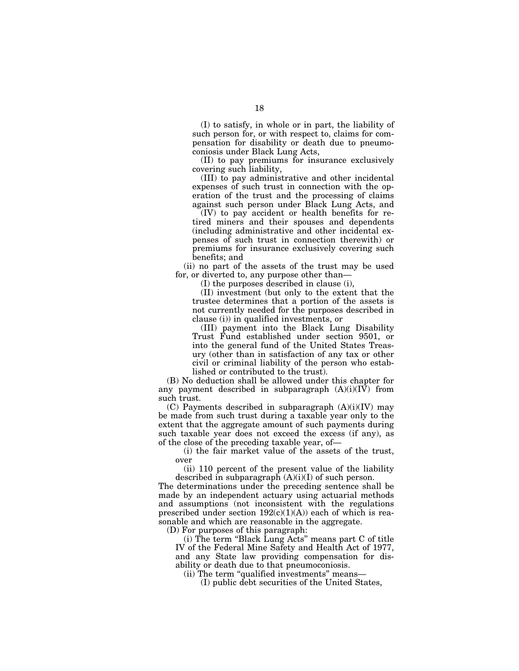(I) to satisfy, in whole or in part, the liability of such person for, or with respect to, claims for compensation for disability or death due to pneumoconiosis under Black Lung Acts,

(II) to pay premiums for insurance exclusively covering such liability,

(III) to pay administrative and other incidental expenses of such trust in connection with the operation of the trust and the processing of claims against such person under Black Lung Acts, and

(IV) to pay accident or health benefits for retired miners and their spouses and dependents (including administrative and other incidental expenses of such trust in connection therewith) or premiums for insurance exclusively covering such benefits; and

(ii) no part of the assets of the trust may be used for, or diverted to, any purpose other than—

(I) the purposes described in clause (i),

(II) investment (but only to the extent that the trustee determines that a portion of the assets is not currently needed for the purposes described in clause (i)) in qualified investments, or

(III) payment into the Black Lung Disability Trust Fund established under section 9501, or into the general fund of the United States Treasury (other than in satisfaction of any tax or other civil or criminal liability of the person who established or contributed to the trust).

(B) No deduction shall be allowed under this chapter for any payment described in subparagraph  $(A)(i)(IV)$  from such trust.

(C) Payments described in subparagraph (A)(i)(IV) may be made from such trust during a taxable year only to the extent that the aggregate amount of such payments during such taxable year does not exceed the excess (if any), as of the close of the preceding taxable year, of—

(i) the fair market value of the assets of the trust, over

(ii) 110 percent of the present value of the liability described in subparagraph  $(A)(i)(I)$  of such person.

The determinations under the preceding sentence shall be made by an independent actuary using actuarial methods and assumptions (not inconsistent with the regulations prescribed under section  $192(c)(1)(A))$  each of which is reasonable and which are reasonable in the aggregate.

(D) For purposes of this paragraph:

(i) The term ''Black Lung Acts'' means part C of title IV of the Federal Mine Safety and Health Act of 1977, and any State law providing compensation for disability or death due to that pneumoconiosis.

(ii) The term ''qualified investments'' means—

(I) public debt securities of the United States,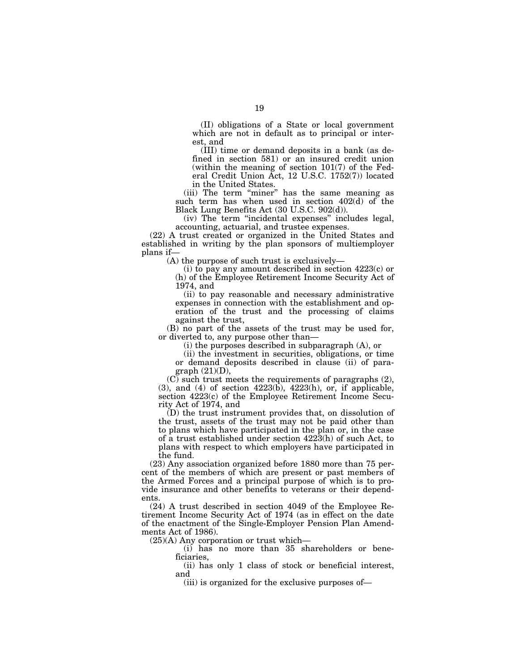(II) obligations of a State or local government which are not in default as to principal or interest, and

(III) time or demand deposits in a bank (as defined in section 581) or an insured credit union (within the meaning of section 101(7) of the Federal Credit Union Act, 12 U.S.C. 1752(7)) located in the United States.

(iii) The term "miner" has the same meaning as such term has when used in section 402(d) of the Black Lung Benefits Act (30 U.S.C. 902(d)).

(iv) The term ''incidental expenses'' includes legal, accounting, actuarial, and trustee expenses.

(22) A trust created or organized in the United States and established in writing by the plan sponsors of multiemployer plans if—

(A) the purpose of such trust is exclusively—

(i) to pay any amount described in section 4223(c) or (h) of the Employee Retirement Income Security Act of 1974, and

(ii) to pay reasonable and necessary administrative expenses in connection with the establishment and operation of the trust and the processing of claims against the trust,

(B) no part of the assets of the trust may be used for, or diverted to, any purpose other than—

(i) the purposes described in subparagraph (A), or

(ii) the investment in securities, obligations, or time or demand deposits described in clause (ii) of paragraph (21)(D),

(C) such trust meets the requirements of paragraphs (2),  $(3)$ , and  $(4)$  of section  $4223(b)$ ,  $4223(b)$ , or, if applicable, section 4223(c) of the Employee Retirement Income Security Act of 1974, and

(D) the trust instrument provides that, on dissolution of the trust, assets of the trust may not be paid other than to plans which have participated in the plan or, in the case of a trust established under section 4223(h) of such Act, to plans with respect to which employers have participated in the fund.

(23) Any association organized before 1880 more than 75 percent of the members of which are present or past members of the Armed Forces and a principal purpose of which is to provide insurance and other benefits to veterans or their dependents.

(24) A trust described in section 4049 of the Employee Retirement Income Security Act of 1974 (as in effect on the date of the enactment of the Single-Employer Pension Plan Amendments Act of 1986).

(25)(A) Any corporation or trust which—

(i) has no more than 35 shareholders or beneficiaries,

(ii) has only 1 class of stock or beneficial interest, and

(iii) is organized for the exclusive purposes of—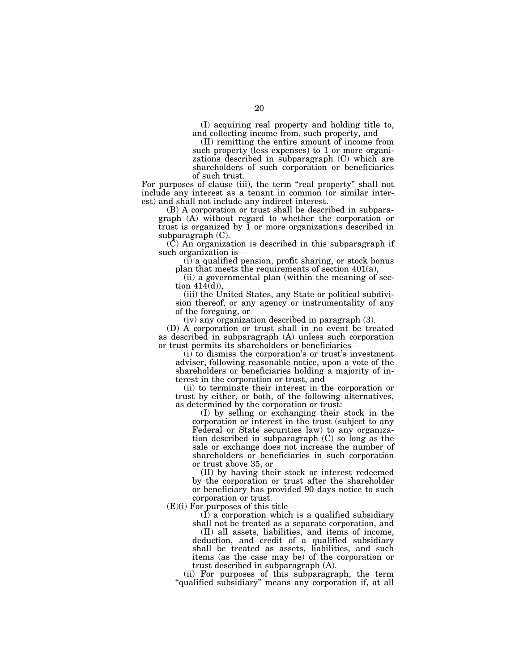(I) acquiring real property and holding title to, and collecting income from, such property, and

(II) remitting the entire amount of income from such property (less expenses) to 1 or more organizations described in subparagraph (C) which are shareholders of such corporation or beneficiaries of such trust.

For purposes of clause (iii), the term "real property" shall not include any interest as a tenant in common (or similar interest) and shall not include any indirect interest.

(B) A corporation or trust shall be described in subparagraph (A) without regard to whether the corporation or trust is organized by  $\overline{1}$  or more organizations described in subparagraph (C).

(C) An organization is described in this subparagraph if such organization is—

(i) a qualified pension, profit sharing, or stock bonus plan that meets the requirements of section 401(a),

(ii) a governmental plan (within the meaning of section 414(d)),

(iii) the United States, any State or political subdivision thereof, or any agency or instrumentality of any of the foregoing, or

(iv) any organization described in paragraph (3).

(D) A corporation or trust shall in no event be treated as described in subparagraph (A) unless such corporation or trust permits its shareholders or beneficiaries—

(i) to dismiss the corporation's or trust's investment adviser, following reasonable notice, upon a vote of the shareholders or beneficiaries holding a majority of interest in the corporation or trust, and

(ii) to terminate their interest in the corporation or trust by either, or both, of the following alternatives, as determined by the corporation or trust:

(I) by selling or exchanging their stock in the corporation or interest in the trust (subject to any Federal or State securities law) to any organization described in subparagraph (C) so long as the sale or exchange does not increase the number of shareholders or beneficiaries in such corporation or trust above 35, or

(II) by having their stock or interest redeemed by the corporation or trust after the shareholder or beneficiary has provided 90 days notice to such corporation or trust.

(E)(i) For purposes of this title—

(I) a corporation which is a qualified subsidiary

shall not be treated as a separate corporation, and (II) all assets, liabilities, and items of income, deduction, and credit of a qualified subsidiary shall be treated as assets, liabilities, and such items (as the case may be) of the corporation or trust described in subparagraph (A).

(ii) For purposes of this subparagraph, the term "qualified subsidiary" means any corporation if, at all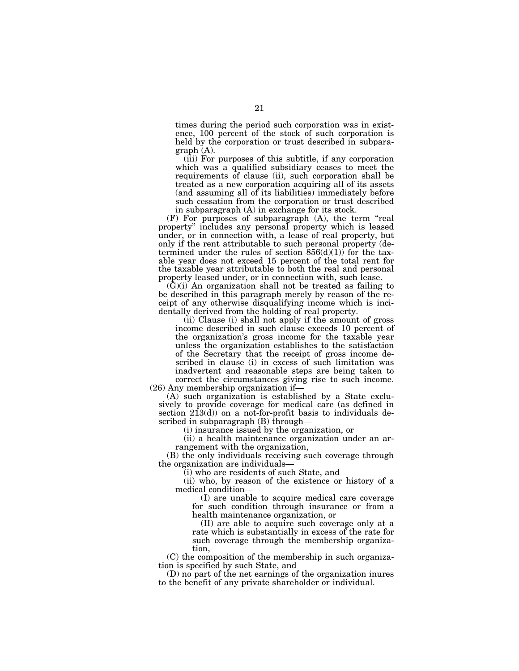times during the period such corporation was in existence, 100 percent of the stock of such corporation is held by the corporation or trust described in subparagraph (A).

(iii) For purposes of this subtitle, if any corporation which was a qualified subsidiary ceases to meet the requirements of clause (ii), such corporation shall be treated as a new corporation acquiring all of its assets (and assuming all of its liabilities) immediately before such cessation from the corporation or trust described in subparagraph (A) in exchange for its stock.

(F) For purposes of subparagraph (A), the term ''real property'' includes any personal property which is leased under, or in connection with, a lease of real property, but only if the rent attributable to such personal property (determined under the rules of section  $856(d)(1)$  for the taxable year does not exceed 15 percent of the total rent for the taxable year attributable to both the real and personal property leased under, or in connection with, such lease.

 $(G)(i)$  An organization shall not be treated as failing to be described in this paragraph merely by reason of the receipt of any otherwise disqualifying income which is incidentally derived from the holding of real property.

(ii) Clause (i) shall not apply if the amount of gross income described in such clause exceeds 10 percent of the organization's gross income for the taxable year unless the organization establishes to the satisfaction of the Secretary that the receipt of gross income described in clause (i) in excess of such limitation was inadvertent and reasonable steps are being taken to correct the circumstances giving rise to such income. (26) Any membership organization if—

(A) such organization is established by a State exclusively to provide coverage for medical care (as defined in section  $2\overline{1}3(d)$  on a not-for-profit basis to individuals described in subparagraph (B) through—

(i) insurance issued by the organization, or

(ii) a health maintenance organization under an arrangement with the organization,

(B) the only individuals receiving such coverage through the organization are individuals—

(i) who are residents of such State, and

(ii) who, by reason of the existence or history of a medical condition—

(I) are unable to acquire medical care coverage for such condition through insurance or from a health maintenance organization, or

(II) are able to acquire such coverage only at a rate which is substantially in excess of the rate for such coverage through the membership organization,

(C) the composition of the membership in such organization is specified by such State, and

(D) no part of the net earnings of the organization inures to the benefit of any private shareholder or individual.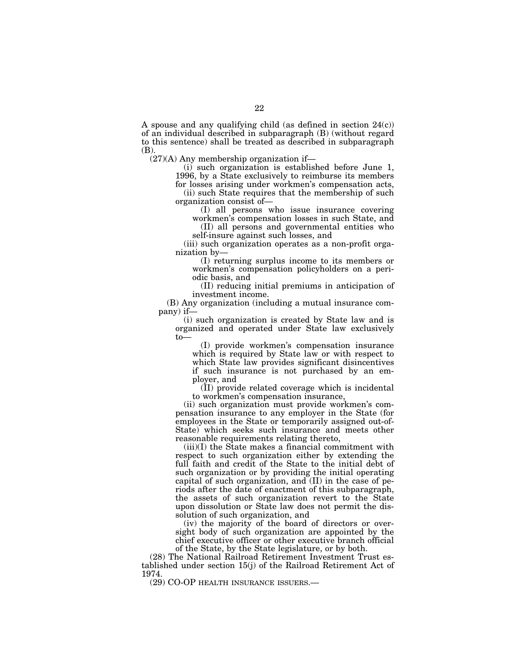A spouse and any qualifying child (as defined in section  $24(c)$ ) of an individual described in subparagraph (B) (without regard to this sentence) shall be treated as described in subparagraph (B).

(27)(A) Any membership organization if—

(i) such organization is established before June 1, 1996, by a State exclusively to reimburse its members

for losses arising under workmen's compensation acts, (ii) such State requires that the membership of such organization consist of—

(I) all persons who issue insurance covering workmen's compensation losses in such State, and

(II) all persons and governmental entities who self-insure against such losses, and

(iii) such organization operates as a non-profit organization by—

(I) returning surplus income to its members or workmen's compensation policyholders on a periodic basis, and

(II) reducing initial premiums in anticipation of investment income.

(B) Any organization (including a mutual insurance company) if—

(i) such organization is created by State law and is organized and operated under State law exclusively to—

(I) provide workmen's compensation insurance which is required by State law or with respect to which State law provides significant disincentives if such insurance is not purchased by an employer, and

(II) provide related coverage which is incidental to workmen's compensation insurance,

(ii) such organization must provide workmen's compensation insurance to any employer in the State (for employees in the State or temporarily assigned out-of-State) which seeks such insurance and meets other reasonable requirements relating thereto,

(iii)(I) the State makes a financial commitment with respect to such organization either by extending the full faith and credit of the State to the initial debt of such organization or by providing the initial operating capital of such organization, and (II) in the case of periods after the date of enactment of this subparagraph, the assets of such organization revert to the State upon dissolution or State law does not permit the dissolution of such organization, and

(iv) the majority of the board of directors or oversight body of such organization are appointed by the chief executive officer or other executive branch official of the State, by the State legislature, or by both.

(28) The National Railroad Retirement Investment Trust established under section 15(j) of the Railroad Retirement Act of 1974.

(29) CO-OP HEALTH INSURANCE ISSUERS.—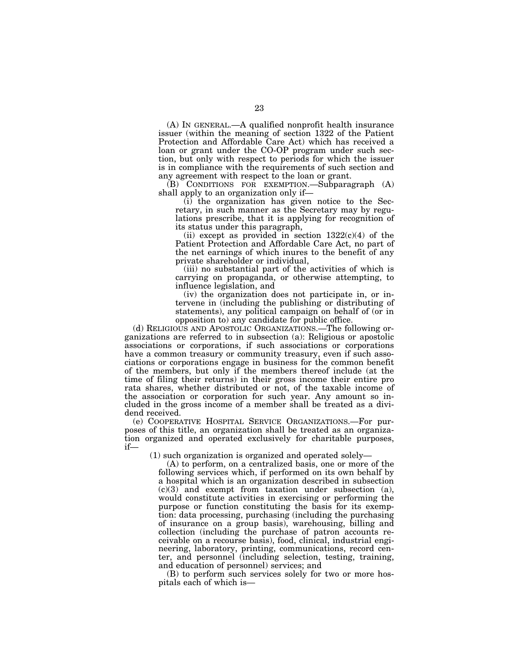(A) IN GENERAL.—A qualified nonprofit health insurance issuer (within the meaning of section 1322 of the Patient Protection and Affordable Care Act) which has received a loan or grant under the CO-OP program under such section, but only with respect to periods for which the issuer is in compliance with the requirements of such section and any agreement with respect to the loan or grant.

(B) CONDITIONS FOR EXEMPTION.—Subparagraph (A) shall apply to an organization only if—

(i) the organization has given notice to the Secretary, in such manner as the Secretary may by regulations prescribe, that it is applying for recognition of its status under this paragraph,

(ii) except as provided in section  $1322(c)(4)$  of the Patient Protection and Affordable Care Act, no part of the net earnings of which inures to the benefit of any private shareholder or individual,

(iii) no substantial part of the activities of which is carrying on propaganda, or otherwise attempting, to influence legislation, and

(iv) the organization does not participate in, or intervene in (including the publishing or distributing of statements), any political campaign on behalf of (or in opposition to) any candidate for public office.

(d) RELIGIOUS AND APOSTOLIC ORGANIZATIONS.—The following organizations are referred to in subsection (a): Religious or apostolic associations or corporations, if such associations or corporations have a common treasury or community treasury, even if such associations or corporations engage in business for the common benefit of the members, but only if the members thereof include (at the time of filing their returns) in their gross income their entire pro rata shares, whether distributed or not, of the taxable income of the association or corporation for such year. Any amount so included in the gross income of a member shall be treated as a dividend received.

(e) COOPERATIVE HOSPITAL SERVICE ORGANIZATIONS.—For purposes of this title, an organization shall be treated as an organization organized and operated exclusively for charitable purposes, if—

(1) such organization is organized and operated solely—

(A) to perform, on a centralized basis, one or more of the following services which, if performed on its own behalf by a hospital which is an organization described in subsection  $(c)(3)$  and exempt from taxation under subsection (a), would constitute activities in exercising or performing the purpose or function constituting the basis for its exemption: data processing, purchasing (including the purchasing of insurance on a group basis), warehousing, billing and collection (including the purchase of patron accounts receivable on a recourse basis), food, clinical, industrial engineering, laboratory, printing, communications, record center, and personnel (including selection, testing, training, and education of personnel) services; and

(B) to perform such services solely for two or more hospitals each of which is—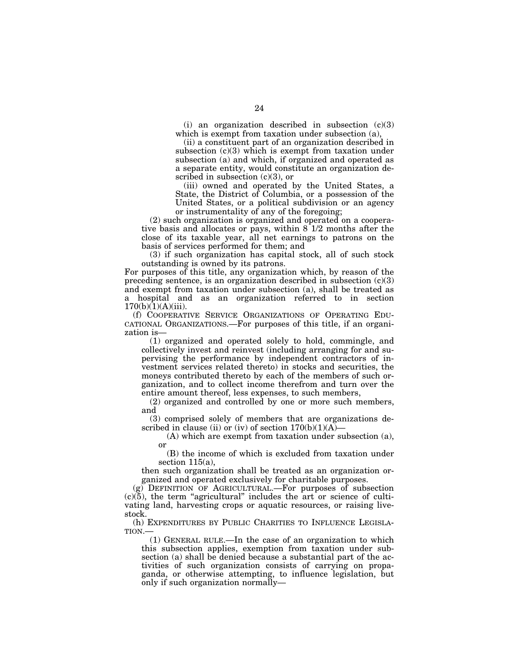(i) an organization described in subsection (c)(3) which is exempt from taxation under subsection (a),

(ii) a constituent part of an organization described in subsection  $(c)(3)$  which is exempt from taxation under subsection (a) and which, if organized and operated as a separate entity, would constitute an organization described in subsection  $(c)(3)$ , or

(iii) owned and operated by the United States, a State, the District of Columbia, or a possession of the United States, or a political subdivision or an agency or instrumentality of any of the foregoing;

(2) such organization is organized and operated on a cooperative basis and allocates or pays, within  $8<sup>-1/2</sup>$  months after the close of its taxable year, all net earnings to patrons on the basis of services performed for them; and

(3) if such organization has capital stock, all of such stock outstanding is owned by its patrons.

For purposes of this title, any organization which, by reason of the preceding sentence, is an organization described in subsection  $(c)(3)$ and exempt from taxation under subsection (a), shall be treated as a hospital and as an organization referred to in section  $170(b)(1)(A)(iii)$ .

(f) COOPERATIVE SERVICE ORGANIZATIONS OF OPERATING EDU-CATIONAL ORGANIZATIONS.—For purposes of this title, if an organization is—

(1) organized and operated solely to hold, commingle, and collectively invest and reinvest (including arranging for and supervising the performance by independent contractors of investment services related thereto) in stocks and securities, the moneys contributed thereto by each of the members of such organization, and to collect income therefrom and turn over the entire amount thereof, less expenses, to such members,

(2) organized and controlled by one or more such members, and

(3) comprised solely of members that are organizations described in clause (ii) or (iv) of section  $170(b)(1)(A)$ 

(A) which are exempt from taxation under subsection (a), or

(B) the income of which is excluded from taxation under section 115(a),

then such organization shall be treated as an organization organized and operated exclusively for charitable purposes.

(g) DEFINITION OF AGRICULTURAL.—For purposes of subsection  $(c)(5)$ , the term "agricultural" includes the art or science of cultivating land, harvesting crops or aquatic resources, or raising livestock.

(h) EXPENDITURES BY PUBLIC CHARITIES TO INFLUENCE LEGISLA-TION.—

(1) GENERAL RULE.—In the case of an organization to which this subsection applies, exemption from taxation under subsection (a) shall be denied because a substantial part of the activities of such organization consists of carrying on propaganda, or otherwise attempting, to influence legislation, but only if such organization normally—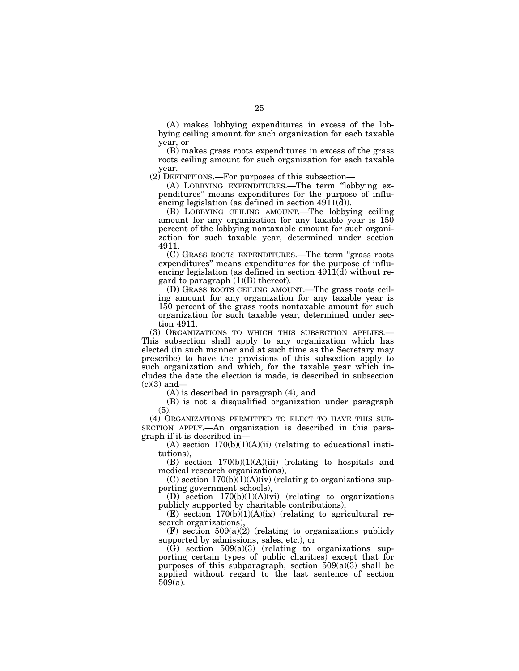(A) makes lobbying expenditures in excess of the lobbying ceiling amount for such organization for each taxable year, or

(B) makes grass roots expenditures in excess of the grass roots ceiling amount for such organization for each taxable year.

(2) DEFINITIONS.—For purposes of this subsection—

(A) LOBBYING EXPENDITURES.—The term ''lobbying expenditures'' means expenditures for the purpose of influencing legislation (as defined in section 4911(d)).

(B) LOBBYING CEILING AMOUNT.—The lobbying ceiling amount for any organization for any taxable year is 150 percent of the lobbying nontaxable amount for such organization for such taxable year, determined under section 4911.

(C) GRASS ROOTS EXPENDITURES.—The term ''grass roots expenditures'' means expenditures for the purpose of influencing legislation (as defined in section 4911(d) without regard to paragraph  $(1)(B)$  thereof).

(D) GRASS ROOTS CEILING AMOUNT.—The grass roots ceiling amount for any organization for any taxable year is 150 percent of the grass roots nontaxable amount for such organization for such taxable year, determined under section 4911.

(3) ORGANIZATIONS TO WHICH THIS SUBSECTION APPLIES.— This subsection shall apply to any organization which has elected (in such manner and at such time as the Secretary may prescribe) to have the provisions of this subsection apply to such organization and which, for the taxable year which includes the date the election is made, is described in subsection  $(c)(3)$  and-

(A) is described in paragraph (4), and

(B) is not a disqualified organization under paragraph (5).

(4) ORGANIZATIONS PERMITTED TO ELECT TO HAVE THIS SUB-SECTION APPLY.—An organization is described in this paragraph if it is described in—

 $(A)$  section  $170(b)(1)(A)(ii)$  (relating to educational institutions),

(B) section  $170(b)(1)(A)(iii)$  (relating to hospitals and medical research organizations),

(C) section  $170(b)(1)(A)(iv)$  (relating to organizations supporting government schools),

(D) section 170(b)(1)(A)(vi) (relating to organizations publicly supported by charitable contributions),

(E) section  $170(b)(1)(A)(ix)$  (relating to agricultural research organizations),

(F) section  $509(a)(2)$  (relating to organizations publicly supported by admissions, sales, etc.), or

 $(\tilde{G})$  section 509(a)(3) (relating to organizations supporting certain types of public charities) except that for purposes of this subparagraph, section  $509(a)(3)$  shall be applied without regard to the last sentence of section 509(a).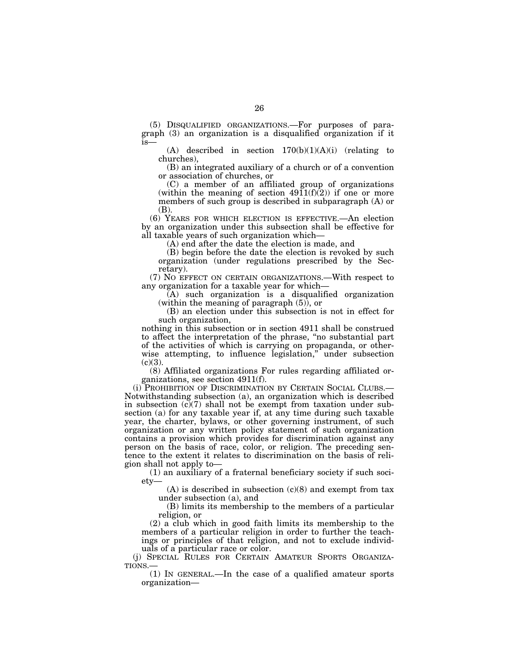(5) DISQUALIFIED ORGANIZATIONS.—For purposes of paragraph (3) an organization is a disqualified organization if it is—

(A) described in section  $170(b)(1)(A)(i)$  (relating to churches),

(B) an integrated auxiliary of a church or of a convention or association of churches, or

(C) a member of an affiliated group of organizations (within the meaning of section  $4911(f)(2)$ ) if one or more members of such group is described in subparagraph (A) or (B).

(6) YEARS FOR WHICH ELECTION IS EFFECTIVE.—An election by an organization under this subsection shall be effective for all taxable years of such organization which—

(A) end after the date the election is made, and

(B) begin before the date the election is revoked by such organization (under regulations prescribed by the Secretary).

(7) NO EFFECT ON CERTAIN ORGANIZATIONS.—With respect to any organization for a taxable year for which—

(A) such organization is a disqualified organization (within the meaning of paragraph (5)), or

(B) an election under this subsection is not in effect for such organization,

nothing in this subsection or in section 4911 shall be construed to affect the interpretation of the phrase, ''no substantial part of the activities of which is carrying on propaganda, or otherwise attempting, to influence legislation," under subsection  $(c)(3)$ .

(8) Affiliated organizations For rules regarding affiliated organizations, see section 4911(f).

(i) PROHIBITION OF DISCRIMINATION BY CERTAIN SOCIAL CLUBS.— Notwithstanding subsection (a), an organization which is described in subsection  $(c)(7)$  shall not be exempt from taxation under subsection (a) for any taxable year if, at any time during such taxable year, the charter, bylaws, or other governing instrument, of such organization or any written policy statement of such organization contains a provision which provides for discrimination against any person on the basis of race, color, or religion. The preceding sentence to the extent it relates to discrimination on the basis of religion shall not apply to—

(1) an auxiliary of a fraternal beneficiary society if such society—

 $(A)$  is described in subsection  $(c)(8)$  and exempt from tax under subsection (a), and

(B) limits its membership to the members of a particular religion, or

(2) a club which in good faith limits its membership to the members of a particular religion in order to further the teachings or principles of that religion, and not to exclude individuals of a particular race or color.

(j) SPECIAL RULES FOR CERTAIN AMATEUR SPORTS ORGANIZATIONS.—

(1) IN GENERAL.—In the case of a qualified amateur sports organization—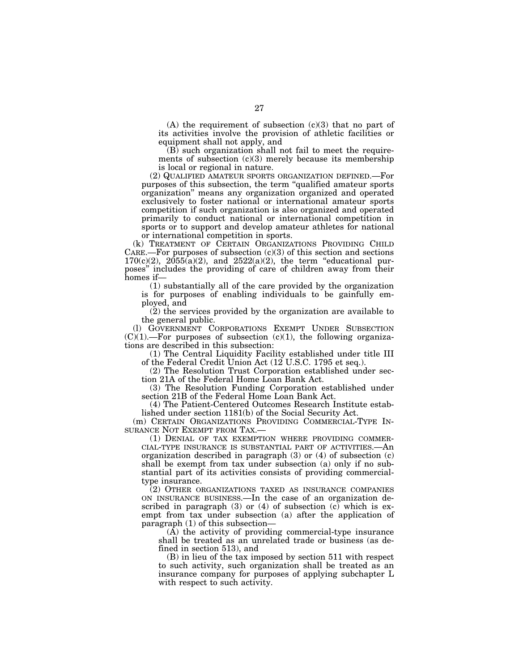$(A)$  the requirement of subsection  $(c)(3)$  that no part of its activities involve the provision of athletic facilities or equipment shall not apply, and

(B) such organization shall not fail to meet the requirements of subsection  $(c)(3)$  merely because its membership is local or regional in nature.

(2) QUALIFIED AMATEUR SPORTS ORGANIZATION DEFINED.—For purposes of this subsection, the term ''qualified amateur sports organization'' means any organization organized and operated exclusively to foster national or international amateur sports competition if such organization is also organized and operated primarily to conduct national or international competition in sports or to support and develop amateur athletes for national or international competition in sports.

(k) TREATMENT OF CERTAIN ORGANIZATIONS PROVIDING CHILD CARE.—For purposes of subsection  $(c)(3)$  of this section and sections  $170(c)(2)$ ,  $2055(a)(2)$ , and  $2522(a)(2)$ , the term "educational purposes'' includes the providing of care of children away from their homes if—

(1) substantially all of the care provided by the organization is for purposes of enabling individuals to be gainfully employed, and

(2) the services provided by the organization are available to the general public.

(l) GOVERNMENT CORPORATIONS EXEMPT UNDER SUBSECTION  $(C)(1)$ .—For purposes of subsection  $(c)(1)$ , the following organizations are described in this subsection:

(1) The Central Liquidity Facility established under title III of the Federal Credit Union Act (12 U.S.C. 1795 et seq.).

(2) The Resolution Trust Corporation established under section 21A of the Federal Home Loan Bank Act.

(3) The Resolution Funding Corporation established under section 21B of the Federal Home Loan Bank Act.

(4) The Patient-Centered Outcomes Research Institute established under section 1181(b) of the Social Security Act.

(m) CERTAIN ORGANIZATIONS PROVIDING COMMERCIAL-TYPE IN-<br>SURANCE NOT EXEMPT FROM TAX.—

(1) DENIAL OF TAX EXEMPTION WHERE PROVIDING COMMER-CIAL-TYPE INSURANCE IS SUBSTANTIAL PART OF ACTIVITIES.—An organization described in paragraph (3) or (4) of subsection (c) shall be exempt from tax under subsection (a) only if no substantial part of its activities consists of providing commercialtype insurance.

(2) OTHER ORGANIZATIONS TAXED AS INSURANCE COMPANIES ON INSURANCE BUSINESS.—In the case of an organization described in paragraph (3) or (4) of subsection  $(c)$  which is exempt from tax under subsection (a) after the application of paragraph (1) of this subsection—

 $(A)$  the activity of providing commercial-type insurance shall be treated as an unrelated trade or business (as defined in section 513), and

(B) in lieu of the tax imposed by section 511 with respect to such activity, such organization shall be treated as an insurance company for purposes of applying subchapter L with respect to such activity.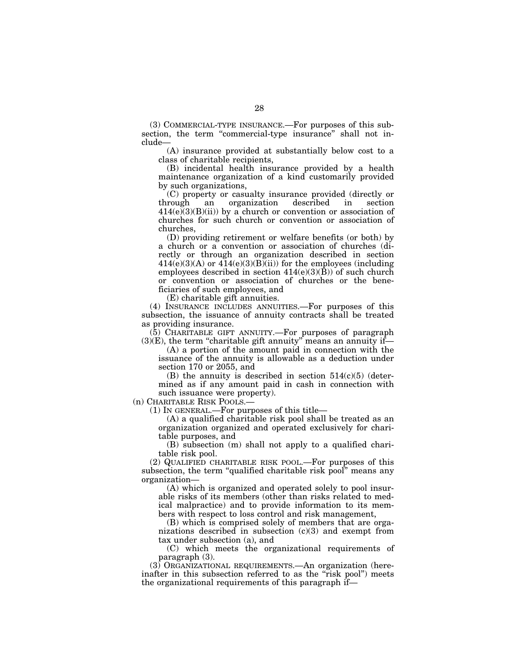(3) COMMERCIAL-TYPE INSURANCE.—For purposes of this subsection, the term "commercial-type insurance" shall not include—

(A) insurance provided at substantially below cost to a class of charitable recipients,

(B) incidental health insurance provided by a health maintenance organization of a kind customarily provided by such organizations,

(C) property or casualty insurance provided (directly or through an organization described in section  $414(e)(3)(B)(ii)$  by a church or convention or association of churches for such church or convention or association of churches,

(D) providing retirement or welfare benefits (or both) by a church or a convention or association of churches (directly or through an organization described in section  $414(e)(3)(A)$  or  $414(e)(3)(B)(ii)$  for the employees (including employees described in section  $414(e)(3)(B)$  of such church or convention or association of churches or the beneficiaries of such employees, and

(E) charitable gift annuities.

(4) INSURANCE INCLUDES ANNUITIES.—For purposes of this subsection, the issuance of annuity contracts shall be treated as providing insurance.

(5) CHARITABLE GIFT ANNUITY.—For purposes of paragraph  $(3)(E)$ , the term "charitable gift annuity" means an annuity if-

(A) a portion of the amount paid in connection with the issuance of the annuity is allowable as a deduction under section 170 or 2055, and

(B) the annuity is described in section  $514(c)(5)$  (determined as if any amount paid in cash in connection with such issuance were property).

(n) CHARITABLE RISK POOLS.—

(1) IN GENERAL.—For purposes of this title—

(A) a qualified charitable risk pool shall be treated as an organization organized and operated exclusively for charitable purposes, and

(B) subsection (m) shall not apply to a qualified charitable risk pool.

(2) QUALIFIED CHARITABLE RISK POOL.—For purposes of this subsection, the term "qualified charitable risk pool" means any organization—

(A) which is organized and operated solely to pool insurable risks of its members (other than risks related to medical malpractice) and to provide information to its members with respect to loss control and risk management,

(B) which is comprised solely of members that are organizations described in subsection (c)(3) and exempt from tax under subsection (a), and

(C) which meets the organizational requirements of paragraph (3).

(3) ORGANIZATIONAL REQUIREMENTS.—An organization (hereinafter in this subsection referred to as the "risk pool") meets the organizational requirements of this paragraph if—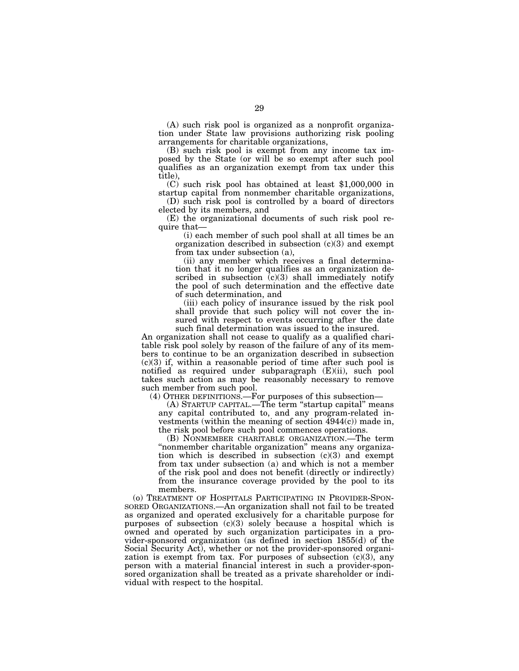(A) such risk pool is organized as a nonprofit organization under State law provisions authorizing risk pooling arrangements for charitable organizations,

(B) such risk pool is exempt from any income tax imposed by the State (or will be so exempt after such pool qualifies as an organization exempt from tax under this title),

(C) such risk pool has obtained at least \$1,000,000 in startup capital from nonmember charitable organizations,

(D) such risk pool is controlled by a board of directors elected by its members, and

(E) the organizational documents of such risk pool require that—

(i) each member of such pool shall at all times be an organization described in subsection  $(c)(3)$  and exempt from tax under subsection (a),

(ii) any member which receives a final determination that it no longer qualifies as an organization described in subsection  $(c)(3)$  shall immediately notify the pool of such determination and the effective date of such determination, and

(iii) each policy of insurance issued by the risk pool shall provide that such policy will not cover the insured with respect to events occurring after the date such final determination was issued to the insured.

An organization shall not cease to qualify as a qualified charitable risk pool solely by reason of the failure of any of its members to continue to be an organization described in subsection (c)(3) if, within a reasonable period of time after such pool is notified as required under subparagraph (E)(ii), such pool takes such action as may be reasonably necessary to remove such member from such pool.

(4) OTHER DEFINITIONS.—For purposes of this subsection—

(A) STARTUP CAPITAL.—The term ''startup capital'' means any capital contributed to, and any program-related investments (within the meaning of section 4944(c)) made in, the risk pool before such pool commences operations.

(B) NONMEMBER CHARITABLE ORGANIZATION.—The term ''nonmember charitable organization'' means any organization which is described in subsection  $(c)(3)$  and exempt from tax under subsection (a) and which is not a member of the risk pool and does not benefit (directly or indirectly) from the insurance coverage provided by the pool to its members.

(o) TREATMENT OF HOSPITALS PARTICIPATING IN PROVIDER-SPON-SORED ORGANIZATIONS.—An organization shall not fail to be treated as organized and operated exclusively for a charitable purpose for purposes of subsection (c)(3) solely because a hospital which is owned and operated by such organization participates in a provider-sponsored organization (as defined in section 1855(d) of the Social Security Act), whether or not the provider-sponsored organization is exempt from tax. For purposes of subsection  $(c)(3)$ , any person with a material financial interest in such a provider-sponsored organization shall be treated as a private shareholder or individual with respect to the hospital.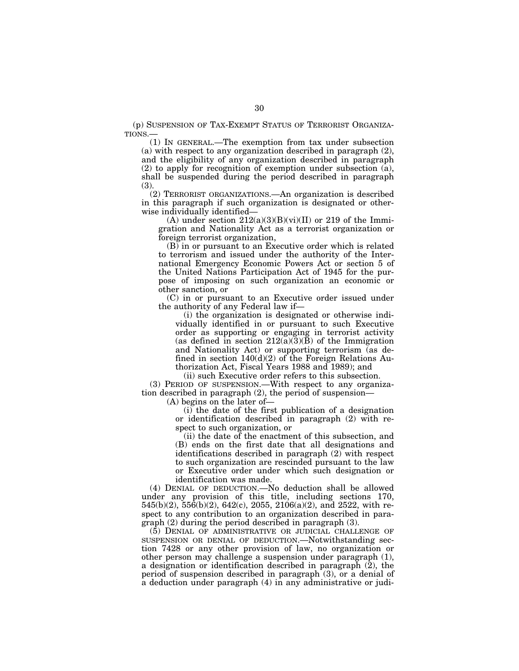(p) SUSPENSION OF TAX-EXEMPT STATUS OF TERRORIST ORGANIZA-TIONS.—

(1) IN GENERAL.—The exemption from tax under subsection (a) with respect to any organization described in paragraph (2), and the eligibility of any organization described in paragraph (2) to apply for recognition of exemption under subsection (a), shall be suspended during the period described in paragraph (3).

(2) TERRORIST ORGANIZATIONS.—An organization is described in this paragraph if such organization is designated or otherwise individually identified—

(A) under section  $212(a)(3)(B)(vi)(II)$  or 219 of the Immigration and Nationality Act as a terrorist organization or foreign terrorist organization,

(B) in or pursuant to an Executive order which is related to terrorism and issued under the authority of the International Emergency Economic Powers Act or section 5 of the United Nations Participation Act of 1945 for the purpose of imposing on such organization an economic or other sanction, or

(C) in or pursuant to an Executive order issued under the authority of any Federal law if—

(i) the organization is designated or otherwise individually identified in or pursuant to such Executive order as supporting or engaging in terrorist activity (as defined in section  $212(a)(3)(B)$  of the Immigration and Nationality Act) or supporting terrorism (as defined in section 140(d)(2) of the Foreign Relations Authorization Act, Fiscal Years 1988 and 1989); and

(ii) such Executive order refers to this subsection.

(3) PERIOD OF SUSPENSION.—With respect to any organization described in paragraph (2), the period of suspension—

(A) begins on the later of—

(i) the date of the first publication of a designation or identification described in paragraph (2) with respect to such organization, or

(ii) the date of the enactment of this subsection, and (B) ends on the first date that all designations and identifications described in paragraph (2) with respect to such organization are rescinded pursuant to the law or Executive order under which such designation or identification was made.

(4) DENIAL OF DEDUCTION.—No deduction shall be allowed under any provision of this title, including sections 170, 545(b)(2), 556(b)(2), 642(c), 2055, 2106(a)(2), and 2522, with respect to any contribution to an organization described in paragraph (2) during the period described in paragraph (3).

(5) DENIAL OF ADMINISTRATIVE OR JUDICIAL CHALLENGE OF SUSPENSION OR DENIAL OF DEDUCTION.—Notwithstanding section 7428 or any other provision of law, no organization or other person may challenge a suspension under paragraph (1), a designation or identification described in paragraph (2), the period of suspension described in paragraph (3), or a denial of a deduction under paragraph (4) in any administrative or judi-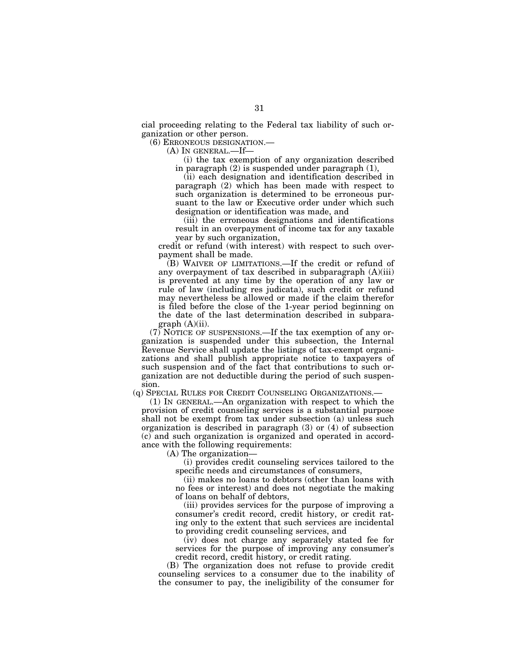cial proceeding relating to the Federal tax liability of such organization or other person.

(6) ERRONEOUS DESIGNATION.—

(A) IN GENERAL.—If—

(i) the tax exemption of any organization described in paragraph (2) is suspended under paragraph (1),

(ii) each designation and identification described in paragraph (2) which has been made with respect to such organization is determined to be erroneous pursuant to the law or Executive order under which such designation or identification was made, and

(iii) the erroneous designations and identifications result in an overpayment of income tax for any taxable year by such organization,

credit or refund (with interest) with respect to such overpayment shall be made.

(B) WAIVER OF LIMITATIONS.—If the credit or refund of any overpayment of tax described in subparagraph (A)(iii) is prevented at any time by the operation of any law or rule of law (including res judicata), such credit or refund may nevertheless be allowed or made if the claim therefor is filed before the close of the 1-year period beginning on the date of the last determination described in subparagraph  $(A)(ii)$ .

(7) NOTICE OF SUSPENSIONS.—If the tax exemption of any organization is suspended under this subsection, the Internal Revenue Service shall update the listings of tax-exempt organizations and shall publish appropriate notice to taxpayers of such suspension and of the fact that contributions to such organization are not deductible during the period of such suspension.

(q) SPECIAL RULES FOR CREDIT COUNSELING ORGANIZATIONS.—

(1) IN GENERAL.—An organization with respect to which the provision of credit counseling services is a substantial purpose shall not be exempt from tax under subsection (a) unless such organization is described in paragraph (3) or (4) of subsection (c) and such organization is organized and operated in accordance with the following requirements:

(A) The organization—

(i) provides credit counseling services tailored to the specific needs and circumstances of consumers,

(ii) makes no loans to debtors (other than loans with no fees or interest) and does not negotiate the making of loans on behalf of debtors,

(iii) provides services for the purpose of improving a consumer's credit record, credit history, or credit rating only to the extent that such services are incidental to providing credit counseling services, and

(iv) does not charge any separately stated fee for services for the purpose of improving any consumer's credit record, credit history, or credit rating.

(B) The organization does not refuse to provide credit counseling services to a consumer due to the inability of the consumer to pay, the ineligibility of the consumer for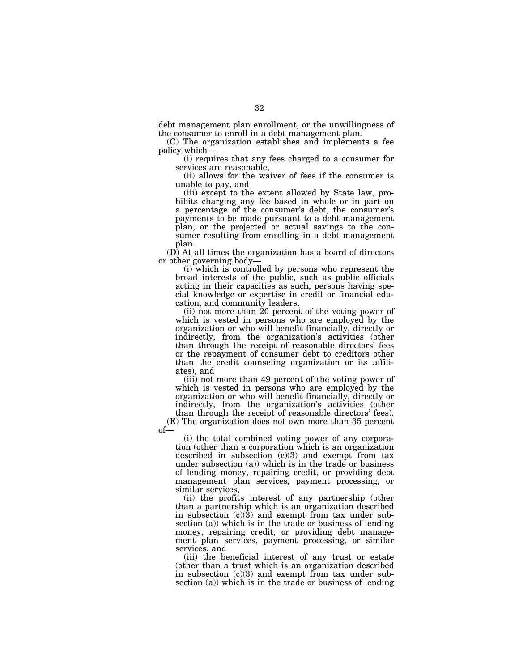debt management plan enrollment, or the unwillingness of the consumer to enroll in a debt management plan.

(C) The organization establishes and implements a fee policy which—

(i) requires that any fees charged to a consumer for services are reasonable,

(ii) allows for the waiver of fees if the consumer is unable to pay, and

(iii) except to the extent allowed by State law, prohibits charging any fee based in whole or in part on a percentage of the consumer's debt, the consumer's payments to be made pursuant to a debt management plan, or the projected or actual savings to the consumer resulting from enrolling in a debt management plan.

(D) At all times the organization has a board of directors or other governing body—

(i) which is controlled by persons who represent the broad interests of the public, such as public officials acting in their capacities as such, persons having special knowledge or expertise in credit or financial education, and community leaders,

(ii) not more than 20 percent of the voting power of which is vested in persons who are employed by the organization or who will benefit financially, directly or indirectly, from the organization's activities (other than through the receipt of reasonable directors' fees or the repayment of consumer debt to creditors other than the credit counseling organization or its affiliates), and

(iii) not more than 49 percent of the voting power of which is vested in persons who are employed by the organization or who will benefit financially, directly or indirectly, from the organization's activities (other than through the receipt of reasonable directors' fees).

(E) The organization does not own more than 35 percent of—

(i) the total combined voting power of any corporation (other than a corporation which is an organization described in subsection  $(c)(3)$  and exempt from tax under subsection (a)) which is in the trade or business of lending money, repairing credit, or providing debt management plan services, payment processing, or similar services,

(ii) the profits interest of any partnership (other than a partnership which is an organization described in subsection  $(c)(3)$  and exempt from tax under subsection (a)) which is in the trade or business of lending money, repairing credit, or providing debt management plan services, payment processing, or similar services, and

(iii) the beneficial interest of any trust or estate (other than a trust which is an organization described in subsection (c)(3) and exempt from tax under subsection (a)) which is in the trade or business of lending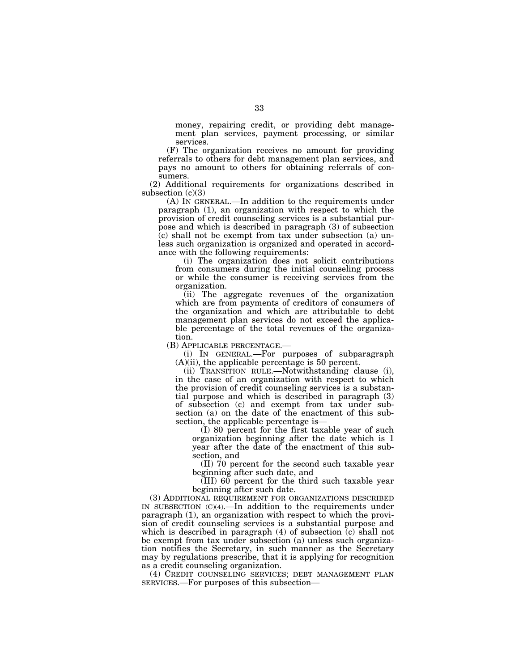money, repairing credit, or providing debt management plan services, payment processing, or similar services.

(F) The organization receives no amount for providing referrals to others for debt management plan services, and pays no amount to others for obtaining referrals of consumers.

(2) Additional requirements for organizations described in subsection  $(c)(3)$ 

(A) IN GENERAL.—In addition to the requirements under paragraph (1), an organization with respect to which the provision of credit counseling services is a substantial purpose and which is described in paragraph (3) of subsection  $(c)$  shall not be exempt from tax under subsection (a) unless such organization is organized and operated in accordance with the following requirements:

(i) The organization does not solicit contributions from consumers during the initial counseling process or while the consumer is receiving services from the organization.

(ii) The aggregate revenues of the organization which are from payments of creditors of consumers of the organization and which are attributable to debt management plan services do not exceed the applicable percentage of the total revenues of the organiza-

tion.<br>(B) APPLICABLE PERCENTAGE.—

(i) IN GENERAL.—For purposes of subparagraph (A)(ii), the applicable percentage is 50 percent.

(ii) TRANSITION RULE.—Notwithstanding clause (i), in the case of an organization with respect to which the provision of credit counseling services is a substantial purpose and which is described in paragraph (3) of subsection (c) and exempt from tax under subsection (a) on the date of the enactment of this subsection, the applicable percentage is—

(I) 80 percent for the first taxable year of such organization beginning after the date which is 1 year after the date of the enactment of this subsection, and

(II) 70 percent for the second such taxable year beginning after such date, and

 $\overline{\text{(III)}}$  60 percent for the third such taxable year beginning after such date.

(3) ADDITIONAL REQUIREMENT FOR ORGANIZATIONS DESCRIBED IN SUBSECTION (C)(4).—In addition to the requirements under paragraph (1), an organization with respect to which the provision of credit counseling services is a substantial purpose and which is described in paragraph  $(4)$  of subsection  $(c)$  shall not be exempt from tax under subsection (a) unless such organization notifies the Secretary, in such manner as the Secretary may by regulations prescribe, that it is applying for recognition as a credit counseling organization.

(4) CREDIT COUNSELING SERVICES; DEBT MANAGEMENT PLAN SERVICES.—For purposes of this subsection—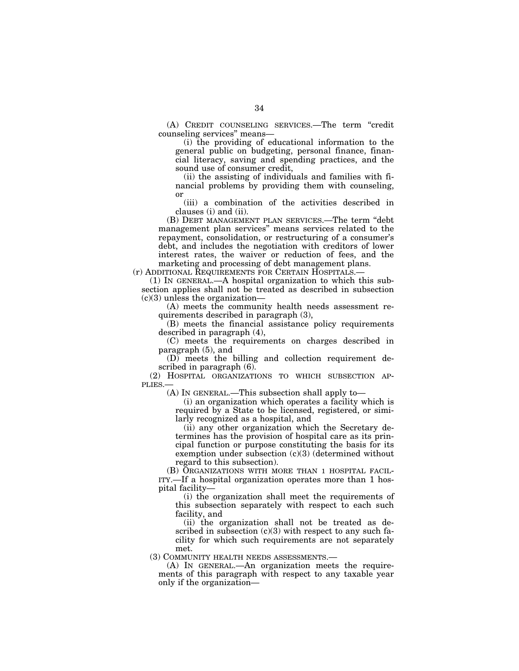(A) CREDIT COUNSELING SERVICES.—The term ''credit counseling services'' means—

(i) the providing of educational information to the general public on budgeting, personal finance, financial literacy, saving and spending practices, and the sound use of consumer credit,

(ii) the assisting of individuals and families with financial problems by providing them with counseling, or

(iii) a combination of the activities described in clauses (i) and (ii).

(B) DEBT MANAGEMENT PLAN SERVICES.—The term ''debt management plan services'' means services related to the repayment, consolidation, or restructuring of a consumer's debt, and includes the negotiation with creditors of lower interest rates, the waiver or reduction of fees, and the marketing and processing of debt management plans.

(r) ADDITIONAL REQUIREMENTS FOR CERTAIN HOSPITALS.—

(1) IN GENERAL.—A hospital organization to which this subsection applies shall not be treated as described in subsection  $(c)(3)$  unless the organization—

(A) meets the community health needs assessment requirements described in paragraph (3),

(B) meets the financial assistance policy requirements described in paragraph (4),

(C) meets the requirements on charges described in paragraph (5), and

(D) meets the billing and collection requirement described in paragraph (6).

(2) HOSPITAL ORGANIZATIONS TO WHICH SUBSECTION AP-PLIES.—

(A) IN GENERAL.—This subsection shall apply to—

(i) an organization which operates a facility which is required by a State to be licensed, registered, or similarly recognized as a hospital, and

(ii) any other organization which the Secretary determines has the provision of hospital care as its principal function or purpose constituting the basis for its exemption under subsection (c)(3) (determined without regard to this subsection).

(B) ORGANIZATIONS WITH MORE THAN 1 HOSPITAL FACIL-ITY.—If a hospital organization operates more than 1 hospital facility—

(i) the organization shall meet the requirements of this subsection separately with respect to each such facility, and

(ii) the organization shall not be treated as described in subsection  $(c)(3)$  with respect to any such facility for which such requirements are not separately met.

(3) COMMUNITY HEALTH NEEDS ASSESSMENTS.—

(A) IN GENERAL.—An organization meets the requirements of this paragraph with respect to any taxable year only if the organization—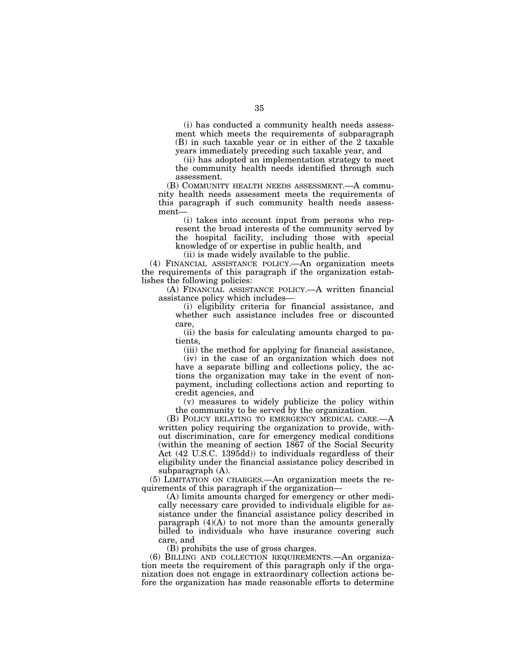(i) has conducted a community health needs assessment which meets the requirements of subparagraph (B) in such taxable year or in either of the 2 taxable years immediately preceding such taxable year, and

(ii) has adopted an implementation strategy to meet the community health needs identified through such assessment.

(B) COMMUNITY HEALTH NEEDS ASSESSMENT.—A community health needs assessment meets the requirements of this paragraph if such community health needs assessment—

(i) takes into account input from persons who represent the broad interests of the community served by the hospital facility, including those with special knowledge of or expertise in public health, and

(ii) is made widely available to the public.

(4) FINANCIAL ASSISTANCE POLICY.—An organization meets the requirements of this paragraph if the organization establishes the following policies:

(A) FINANCIAL ASSISTANCE POLICY.—A written financial assistance policy which includes—

(i) eligibility criteria for financial assistance, and whether such assistance includes free or discounted care,

(ii) the basis for calculating amounts charged to patients,

(iii) the method for applying for financial assistance,

(iv) in the case of an organization which does not have a separate billing and collections policy, the actions the organization may take in the event of nonpayment, including collections action and reporting to credit agencies, and

(v) measures to widely publicize the policy within the community to be served by the organization.

(B) POLICY RELATING TO EMERGENCY MEDICAL CARE.written policy requiring the organization to provide, without discrimination, care for emergency medical conditions (within the meaning of section 1867 of the Social Security Act (42 U.S.C. 1395dd)) to individuals regardless of their eligibility under the financial assistance policy described in subparagraph (A).

(5) LIMITATION ON CHARGES.—An organization meets the requirements of this paragraph if the organization—

(A) limits amounts charged for emergency or other medically necessary care provided to individuals eligible for assistance under the financial assistance policy described in paragraph  $(4)(A)$  to not more than the amounts generally billed to individuals who have insurance covering such care, and

(B) prohibits the use of gross charges.

(6) BILLING AND COLLECTION REQUIREMENTS.—An organization meets the requirement of this paragraph only if the organization does not engage in extraordinary collection actions before the organization has made reasonable efforts to determine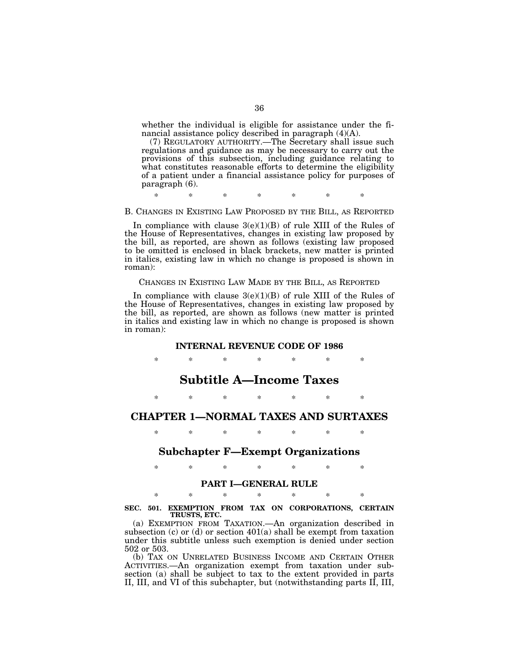whether the individual is eligible for assistance under the financial assistance policy described in paragraph (4)(A).

(7) REGULATORY AUTHORITY.—The Secretary shall issue such regulations and guidance as may be necessary to carry out the provisions of this subsection, including guidance relating to what constitutes reasonable efforts to determine the eligibility of a patient under a financial assistance policy for purposes of paragraph (6).

\* \* \* \* \* \* \*

#### B. CHANGES IN EXISTING LAW PROPOSED BY THE BILL, AS REPORTED

In compliance with clause  $3(e)(1)(B)$  of rule XIII of the Rules of the House of Representatives, changes in existing law proposed by the bill, as reported, are shown as follows (existing law proposed to be omitted is enclosed in black brackets, new matter is printed in italics, existing law in which no change is proposed is shown in roman):

#### CHANGES IN EXISTING LAW MADE BY THE BILL, AS REPORTED

In compliance with clause  $3(e)(1)(B)$  of rule XIII of the Rules of the House of Representatives, changes in existing law proposed by the bill, as reported, are shown as follows (new matter is printed in italics and existing law in which no change is proposed is shown in roman):

#### **INTERNAL REVENUE CODE OF 1986**

\* \* \* \* \* \* \*

# **Subtitle A—Income Taxes**

\* \* \* \* \* \* \*

# **CHAPTER 1—NORMAL TAXES AND SURTAXES**

\* \* \* \* \* \* \*

## **Subchapter F—Exempt Organizations**

\* \* \* \* \* \* \*

## **PART I—GENERAL RULE**

\* \* \* \* \* \* \* **SEC. 501. EXEMPTION FROM TAX ON CORPORATIONS, CERTAIN TRUSTS, ETC.** 

(a) EXEMPTION FROM TAXATION.—An organization described in subsection (c) or (d) or section 401(a) shall be exempt from taxation under this subtitle unless such exemption is denied under section 502 or 503.

(b) TAX ON UNRELATED BUSINESS INCOME AND CERTAIN OTHER ACTIVITIES.—An organization exempt from taxation under subsection (a) shall be subject to tax to the extent provided in parts II, III, and VI of this subchapter, but (notwithstanding parts II, III,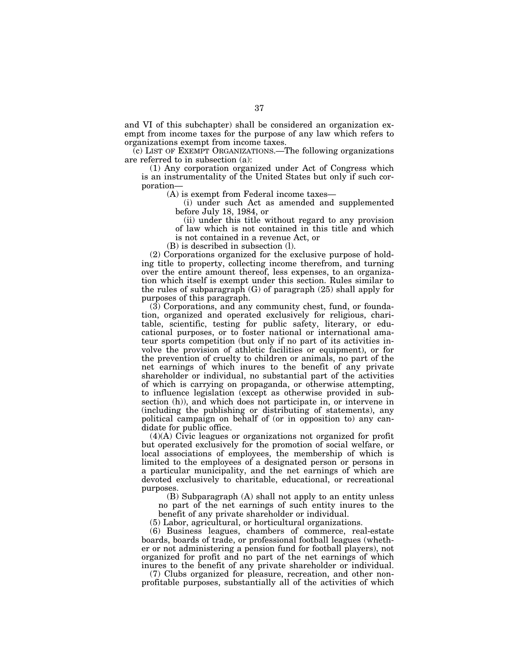and VI of this subchapter) shall be considered an organization exempt from income taxes for the purpose of any law which refers to organizations exempt from income taxes.

(c) LIST OF EXEMPT ORGANIZATIONS.—The following organizations are referred to in subsection (a):

(1) Any corporation organized under Act of Congress which is an instrumentality of the United States but only if such corporation—

(A) is exempt from Federal income taxes—

(i) under such Act as amended and supplemented before July 18, 1984, or

(ii) under this title without regard to any provision of law which is not contained in this title and which is not contained in a revenue Act, or

(B) is described in subsection (l).

(2) Corporations organized for the exclusive purpose of holding title to property, collecting income therefrom, and turning over the entire amount thereof, less expenses, to an organization which itself is exempt under this section. Rules similar to the rules of subparagraph (G) of paragraph (25) shall apply for purposes of this paragraph.

(3) Corporations, and any community chest, fund, or foundation, organized and operated exclusively for religious, charitable, scientific, testing for public safety, literary, or educational purposes, or to foster national or international amateur sports competition (but only if no part of its activities involve the provision of athletic facilities or equipment), or for the prevention of cruelty to children or animals, no part of the net earnings of which inures to the benefit of any private shareholder or individual, no substantial part of the activities of which is carrying on propaganda, or otherwise attempting, to influence legislation (except as otherwise provided in subsection (h)), and which does not participate in, or intervene in (including the publishing or distributing of statements), any political campaign on behalf of (or in opposition to) any candidate for public office.

(4)(A) Civic leagues or organizations not organized for profit but operated exclusively for the promotion of social welfare, or local associations of employees, the membership of which is limited to the employees of a designated person or persons in a particular municipality, and the net earnings of which are devoted exclusively to charitable, educational, or recreational purposes.

(B) Subparagraph (A) shall not apply to an entity unless no part of the net earnings of such entity inures to the benefit of any private shareholder or individual.

(5) Labor, agricultural, or horticultural organizations.

(6) Business leagues, chambers of commerce, real-estate boards, boards of trade, or professional football leagues (whether or not administering a pension fund for football players), not organized for profit and no part of the net earnings of which inures to the benefit of any private shareholder or individual.

(7) Clubs organized for pleasure, recreation, and other nonprofitable purposes, substantially all of the activities of which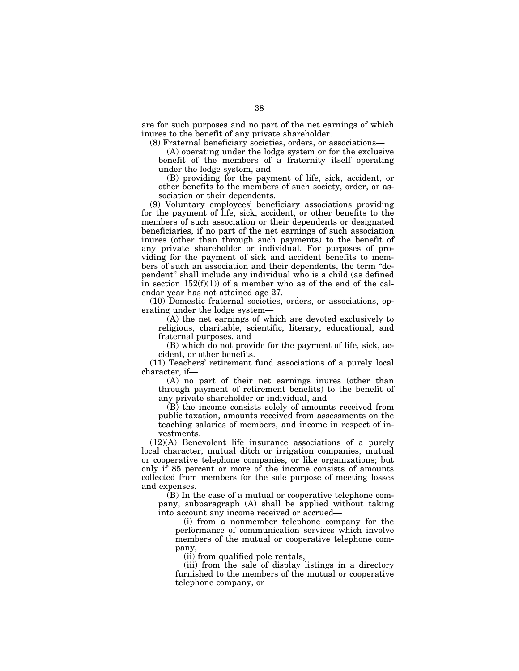are for such purposes and no part of the net earnings of which inures to the benefit of any private shareholder.

(8) Fraternal beneficiary societies, orders, or associations—

(A) operating under the lodge system or for the exclusive benefit of the members of a fraternity itself operating under the lodge system, and

(B) providing for the payment of life, sick, accident, or other benefits to the members of such society, order, or association or their dependents.

(9) Voluntary employees' beneficiary associations providing for the payment of life, sick, accident, or other benefits to the members of such association or their dependents or designated beneficiaries, if no part of the net earnings of such association inures (other than through such payments) to the benefit of any private shareholder or individual. For purposes of providing for the payment of sick and accident benefits to members of such an association and their dependents, the term ''dependent'' shall include any individual who is a child (as defined in section  $152(f)(1)$  of a member who as of the end of the calendar year has not attained age 27.

(10) Domestic fraternal societies, orders, or associations, operating under the lodge system—

(A) the net earnings of which are devoted exclusively to religious, charitable, scientific, literary, educational, and fraternal purposes, and

(B) which do not provide for the payment of life, sick, accident, or other benefits.

(11) Teachers' retirement fund associations of a purely local character, if—

(A) no part of their net earnings inures (other than through payment of retirement benefits) to the benefit of any private shareholder or individual, and

(B) the income consists solely of amounts received from public taxation, amounts received from assessments on the teaching salaries of members, and income in respect of investments.

(12)(A) Benevolent life insurance associations of a purely local character, mutual ditch or irrigation companies, mutual or cooperative telephone companies, or like organizations; but only if 85 percent or more of the income consists of amounts collected from members for the sole purpose of meeting losses and expenses.

(B) In the case of a mutual or cooperative telephone company, subparagraph (A) shall be applied without taking into account any income received or accrued—

(i) from a nonmember telephone company for the performance of communication services which involve members of the mutual or cooperative telephone company,

(ii) from qualified pole rentals,

(iii) from the sale of display listings in a directory furnished to the members of the mutual or cooperative telephone company, or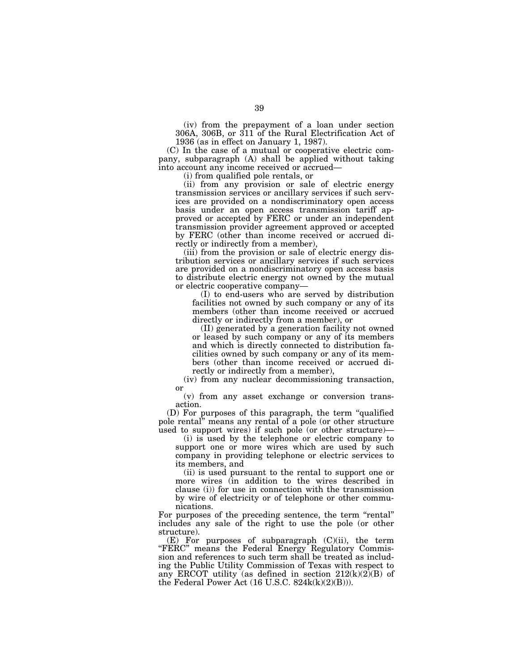(iv) from the prepayment of a loan under section 306A, 306B, or 311 of the Rural Electrification Act of 1936 (as in effect on January 1, 1987).

(C) In the case of a mutual or cooperative electric company, subparagraph (A) shall be applied without taking into account any income received or accrued—

(i) from qualified pole rentals, or

(ii) from any provision or sale of electric energy transmission services or ancillary services if such services are provided on a nondiscriminatory open access basis under an open access transmission tariff approved or accepted by FERC or under an independent transmission provider agreement approved or accepted by FERC (other than income received or accrued directly or indirectly from a member),

(iii) from the provision or sale of electric energy distribution services or ancillary services if such services are provided on a nondiscriminatory open access basis to distribute electric energy not owned by the mutual or electric cooperative company—

(I) to end-users who are served by distribution facilities not owned by such company or any of its members (other than income received or accrued directly or indirectly from a member), or

(II) generated by a generation facility not owned or leased by such company or any of its members and which is directly connected to distribution facilities owned by such company or any of its members (other than income received or accrued directly or indirectly from a member),

(iv) from any nuclear decommissioning transaction, or

(v) from any asset exchange or conversion transaction.

(D) For purposes of this paragraph, the term ''qualified pole rental'' means any rental of a pole (or other structure used to support wires) if such pole (or other structure)—

(i) is used by the telephone or electric company to support one or more wires which are used by such company in providing telephone or electric services to its members, and

(ii) is used pursuant to the rental to support one or more wires (in addition to the wires described in clause (i)) for use in connection with the transmission by wire of electricity or of telephone or other communications.

For purposes of the preceding sentence, the term "rental" includes any sale of the right to use the pole (or other structure).

(E) For purposes of subparagraph (C)(ii), the term "FERC" means the Federal Energy Regulatory Commission and references to such term shall be treated as including the Public Utility Commission of Texas with respect to any ERCOT utility (as defined in section  $212(k)(2)(B)$  of the Federal Power Act  $(16$  U.S.C.  $824k(k)(2)(B))$ .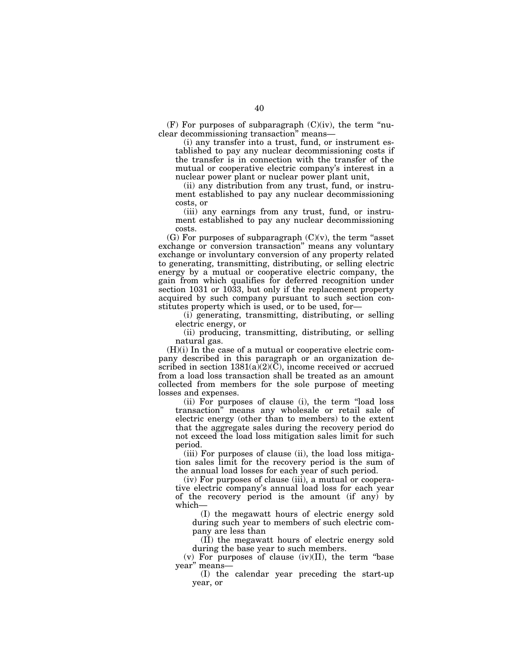$(F)$  For purposes of subparagraph  $(C)(iv)$ , the term "nuclear decommissioning transaction'' means—

(i) any transfer into a trust, fund, or instrument established to pay any nuclear decommissioning costs if the transfer is in connection with the transfer of the mutual or cooperative electric company's interest in a nuclear power plant or nuclear power plant unit,

(ii) any distribution from any trust, fund, or instrument established to pay any nuclear decommissioning costs, or

(iii) any earnings from any trust, fund, or instrument established to pay any nuclear decommissioning costs.

(G) For purposes of subparagraph  $(C)(v)$ , the term "asset" exchange or conversion transaction'' means any voluntary exchange or involuntary conversion of any property related to generating, transmitting, distributing, or selling electric energy by a mutual or cooperative electric company, the gain from which qualifies for deferred recognition under section 1031 or 1033, but only if the replacement property acquired by such company pursuant to such section constitutes property which is used, or to be used, for—

(i) generating, transmitting, distributing, or selling electric energy, or

(ii) producing, transmitting, distributing, or selling natural gas.

 $(H)(i)$  In the case of a mutual or cooperative electric company described in this paragraph or an organization described in section  $1381(a)(2)(\overline{C})$ , income received or accrued from a load loss transaction shall be treated as an amount collected from members for the sole purpose of meeting losses and expenses.

(ii) For purposes of clause (i), the term ''load loss transaction'' means any wholesale or retail sale of electric energy (other than to members) to the extent that the aggregate sales during the recovery period do not exceed the load loss mitigation sales limit for such period.

(iii) For purposes of clause (ii), the load loss mitigation sales limit for the recovery period is the sum of the annual load losses for each year of such period.

(iv) For purposes of clause (iii), a mutual or cooperative electric company's annual load loss for each year of the recovery period is the amount (if any) by which—

(I) the megawatt hours of electric energy sold during such year to members of such electric company are less than

(II) the megawatt hours of electric energy sold during the base year to such members.

(v) For purposes of clause  $(iv)(II)$ , the term "base" year'' means—

(I) the calendar year preceding the start-up year, or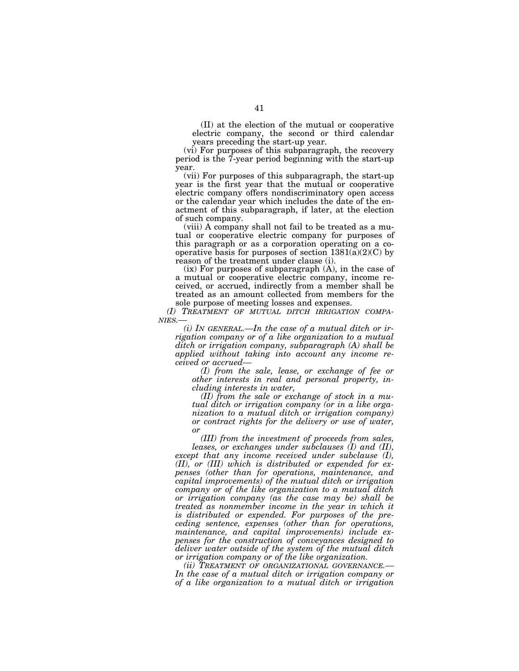(II) at the election of the mutual or cooperative electric company, the second or third calendar years preceding the start-up year.

(vi) For purposes of this subparagraph, the recovery period is the 7-year period beginning with the start-up year.

(vii) For purposes of this subparagraph, the start-up year is the first year that the mutual or cooperative electric company offers nondiscriminatory open access or the calendar year which includes the date of the enactment of this subparagraph, if later, at the election of such company.

(viii) A company shall not fail to be treated as a mutual or cooperative electric company for purposes of this paragraph or as a corporation operating on a cooperative basis for purposes of section  $1381(a)(2)(C)$  by reason of the treatment under clause (i).

 $(ix)$  For purposes of subparagraph  $(A)$ , in the case of a mutual or cooperative electric company, income received, or accrued, indirectly from a member shall be treated as an amount collected from members for the sole purpose of meeting losses and expenses.

*(I) TREATMENT OF MUTUAL DITCH IRRIGATION COMPA- NIES.—* 

*(i) IN GENERAL.—In the case of a mutual ditch or irrigation company or of a like organization to a mutual ditch or irrigation company, subparagraph (A) shall be applied without taking into account any income received or accrued—* 

*(I) from the sale, lease, or exchange of fee or other interests in real and personal property, including interests in water,* 

*(II) from the sale or exchange of stock in a mutual ditch or irrigation company (or in a like organization to a mutual ditch or irrigation company) or contract rights for the delivery or use of water, or* 

*(III) from the investment of proceeds from sales,* 

*leases, or exchanges under subclauses (I) and (II), except that any income received under subclause (I), (II), or (III) which is distributed or expended for expenses (other than for operations, maintenance, and capital improvements) of the mutual ditch or irrigation company or of the like organization to a mutual ditch or irrigation company (as the case may be) shall be treated as nonmember income in the year in which it is distributed or expended. For purposes of the preceding sentence, expenses (other than for operations, maintenance, and capital improvements) include expenses for the construction of conveyances designed to deliver water outside of the system of the mutual ditch or irrigation company or of the like organization.* 

*(ii) TREATMENT OF ORGANIZATIONAL GOVERNANCE.— In the case of a mutual ditch or irrigation company or of a like organization to a mutual ditch or irrigation*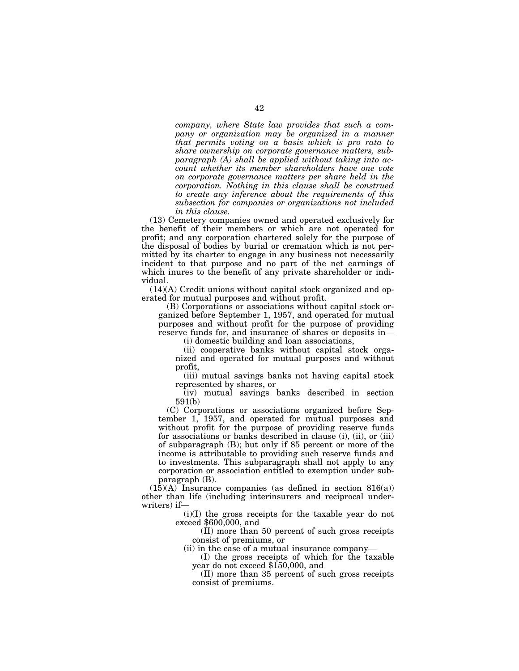*company, where State law provides that such a company or organization may be organized in a manner that permits voting on a basis which is pro rata to share ownership on corporate governance matters, subparagraph (A) shall be applied without taking into account whether its member shareholders have one vote on corporate governance matters per share held in the corporation. Nothing in this clause shall be construed to create any inference about the requirements of this subsection for companies or organizations not included in this clause.* 

(13) Cemetery companies owned and operated exclusively for the benefit of their members or which are not operated for profit; and any corporation chartered solely for the purpose of the disposal of bodies by burial or cremation which is not permitted by its charter to engage in any business not necessarily incident to that purpose and no part of the net earnings of which inures to the benefit of any private shareholder or individual.

(14)(A) Credit unions without capital stock organized and operated for mutual purposes and without profit.

(B) Corporations or associations without capital stock organized before September 1, 1957, and operated for mutual purposes and without profit for the purpose of providing reserve funds for, and insurance of shares or deposits in—

(i) domestic building and loan associations,

(ii) cooperative banks without capital stock organized and operated for mutual purposes and without profit,

(iii) mutual savings banks not having capital stock represented by shares, or

(iv) mutual savings banks described in section 591(b)

(C) Corporations or associations organized before September 1, 1957, and operated for mutual purposes and without profit for the purpose of providing reserve funds for associations or banks described in clause (i), (ii), or (iii) of subparagraph (B); but only if 85 percent or more of the income is attributable to providing such reserve funds and to investments. This subparagraph shall not apply to any corporation or association entitled to exemption under subparagraph (B).

(15)(A) Insurance companies (as defined in section 816(a)) other than life (including interinsurers and reciprocal underwriters) if—

(i)(I) the gross receipts for the taxable year do not exceed \$600,000, and

(II) more than 50 percent of such gross receipts consist of premiums, or

(ii) in the case of a mutual insurance company—

(I) the gross receipts of which for the taxable year do not exceed \$150,000, and

(II) more than 35 percent of such gross receipts consist of premiums.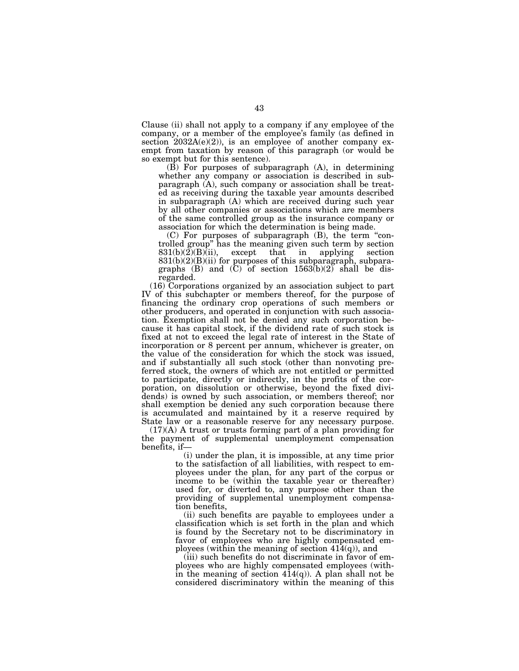Clause (ii) shall not apply to a company if any employee of the company, or a member of the employee's family (as defined in section 2032A(e)(2)), is an employee of another company exempt from taxation by reason of this paragraph (or would be so exempt but for this sentence).

(B) For purposes of subparagraph (A), in determining whether any company or association is described in subparagraph (A), such company or association shall be treated as receiving during the taxable year amounts described in subparagraph (A) which are received during such year by all other companies or associations which are members of the same controlled group as the insurance company or association for which the determination is being made.

(C) For purposes of subparagraph (B), the term ''controlled group'' has the meaning given such term by section  $831(b)(2)(B)(ii)$ , except that in applying section  $831(b)(2)(B)(ii)$  for purposes of this subparagraph, subparagraphs (B) and  $\overline{(C)}$  of section 1563 $\overline{(b)}(2)$  shall be disregarded.

(16) Corporations organized by an association subject to part IV of this subchapter or members thereof, for the purpose of financing the ordinary crop operations of such members or other producers, and operated in conjunction with such association. Exemption shall not be denied any such corporation because it has capital stock, if the dividend rate of such stock is fixed at not to exceed the legal rate of interest in the State of incorporation or 8 percent per annum, whichever is greater, on the value of the consideration for which the stock was issued, and if substantially all such stock (other than nonvoting preferred stock, the owners of which are not entitled or permitted to participate, directly or indirectly, in the profits of the corporation, on dissolution or otherwise, beyond the fixed dividends) is owned by such association, or members thereof; nor shall exemption be denied any such corporation because there is accumulated and maintained by it a reserve required by State law or a reasonable reserve for any necessary purpose.

(17)(A) A trust or trusts forming part of a plan providing for the payment of supplemental unemployment compensation benefits, if—

(i) under the plan, it is impossible, at any time prior to the satisfaction of all liabilities, with respect to employees under the plan, for any part of the corpus or income to be (within the taxable year or thereafter) used for, or diverted to, any purpose other than the providing of supplemental unemployment compensation benefits,

(ii) such benefits are payable to employees under a classification which is set forth in the plan and which is found by the Secretary not to be discriminatory in favor of employees who are highly compensated employees (within the meaning of section  $414(q)$ ), and

(iii) such benefits do not discriminate in favor of employees who are highly compensated employees (within the meaning of section  $414(q)$ ). A plan shall not be considered discriminatory within the meaning of this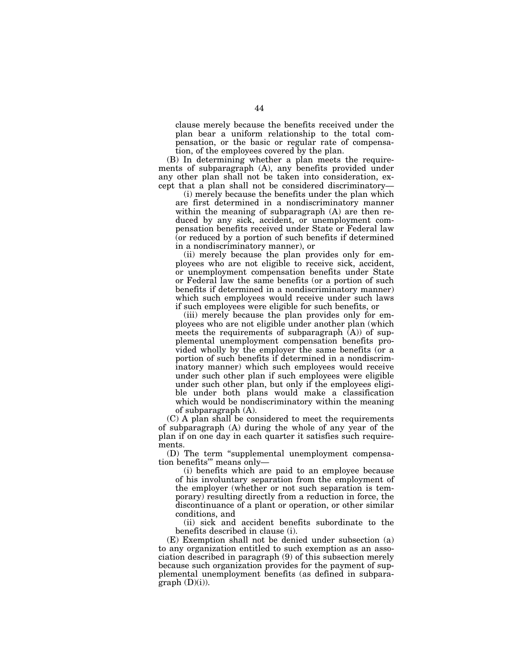clause merely because the benefits received under the plan bear a uniform relationship to the total compensation, or the basic or regular rate of compensation, of the employees covered by the plan.

(B) In determining whether a plan meets the requirements of subparagraph (A), any benefits provided under any other plan shall not be taken into consideration, except that a plan shall not be considered discriminatory—

(i) merely because the benefits under the plan which are first determined in a nondiscriminatory manner within the meaning of subparagraph (A) are then reduced by any sick, accident, or unemployment compensation benefits received under State or Federal law (or reduced by a portion of such benefits if determined in a nondiscriminatory manner), or

(ii) merely because the plan provides only for employees who are not eligible to receive sick, accident, or unemployment compensation benefits under State or Federal law the same benefits (or a portion of such benefits if determined in a nondiscriminatory manner) which such employees would receive under such laws if such employees were eligible for such benefits, or

(iii) merely because the plan provides only for employees who are not eligible under another plan (which meets the requirements of subparagraph (A)) of supplemental unemployment compensation benefits provided wholly by the employer the same benefits (or a portion of such benefits if determined in a nondiscriminatory manner) which such employees would receive under such other plan if such employees were eligible under such other plan, but only if the employees eligible under both plans would make a classification which would be nondiscriminatory within the meaning of subparagraph (A).

(C) A plan shall be considered to meet the requirements of subparagraph (A) during the whole of any year of the plan if on one day in each quarter it satisfies such requirements.

(D) The term ''supplemental unemployment compensation benefits''' means only—

(i) benefits which are paid to an employee because of his involuntary separation from the employment of the employer (whether or not such separation is temporary) resulting directly from a reduction in force, the discontinuance of a plant or operation, or other similar conditions, and

(ii) sick and accident benefits subordinate to the benefits described in clause (i).

(E) Exemption shall not be denied under subsection (a) to any organization entitled to such exemption as an association described in paragraph (9) of this subsection merely because such organization provides for the payment of supplemental unemployment benefits (as defined in subpara $graph (D)(i)$ ).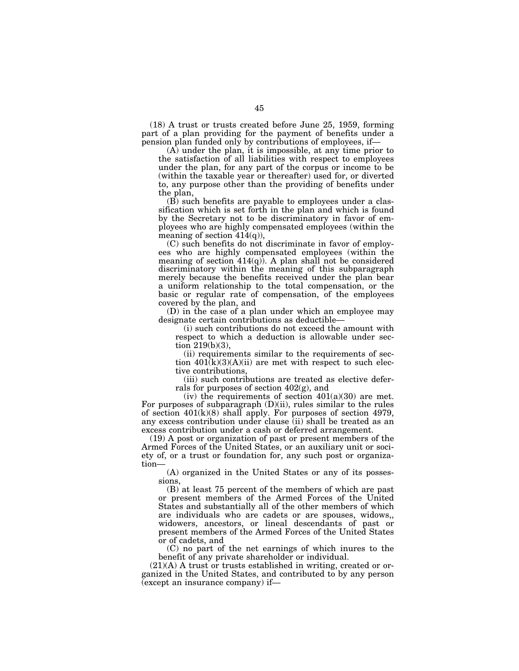(18) A trust or trusts created before June 25, 1959, forming part of a plan providing for the payment of benefits under a pension plan funded only by contributions of employees, if—

(A) under the plan, it is impossible, at any time prior to the satisfaction of all liabilities with respect to employees under the plan, for any part of the corpus or income to be (within the taxable year or thereafter) used for, or diverted to, any purpose other than the providing of benefits under the plan,

(B) such benefits are payable to employees under a classification which is set forth in the plan and which is found by the Secretary not to be discriminatory in favor of employees who are highly compensated employees (within the meaning of section  $414(q)$ ),

(C) such benefits do not discriminate in favor of employees who are highly compensated employees (within the meaning of section  $414(q)$ ). A plan shall not be considered discriminatory within the meaning of this subparagraph merely because the benefits received under the plan bear a uniform relationship to the total compensation, or the basic or regular rate of compensation, of the employees covered by the plan, and

(D) in the case of a plan under which an employee may designate certain contributions as deductible—

(i) such contributions do not exceed the amount with respect to which a deduction is allowable under section 219(b)(3),

(ii) requirements similar to the requirements of section  $401(k)(3)(A)(ii)$  are met with respect to such elective contributions,

(iii) such contributions are treated as elective deferrals for purposes of section 402(g), and

(iv) the requirements of section  $401(a)(30)$  are met. For purposes of subparagraph  $(D)(ii)$ , rules similar to the rules of section 401(k)(8) shall apply. For purposes of section 4979, any excess contribution under clause (ii) shall be treated as an excess contribution under a cash or deferred arrangement.

(19) A post or organization of past or present members of the Armed Forces of the United States, or an auxiliary unit or society of, or a trust or foundation for, any such post or organization—

(A) organized in the United States or any of its possessions,

(B) at least 75 percent of the members of which are past or present members of the Armed Forces of the United States and substantially all of the other members of which are individuals who are cadets or are spouses, widows,, widowers, ancestors, or lineal descendants of past or present members of the Armed Forces of the United States or of cadets, and

(C) no part of the net earnings of which inures to the benefit of any private shareholder or individual.

(21)(A) A trust or trusts established in writing, created or organized in the United States, and contributed to by any person (except an insurance company) if—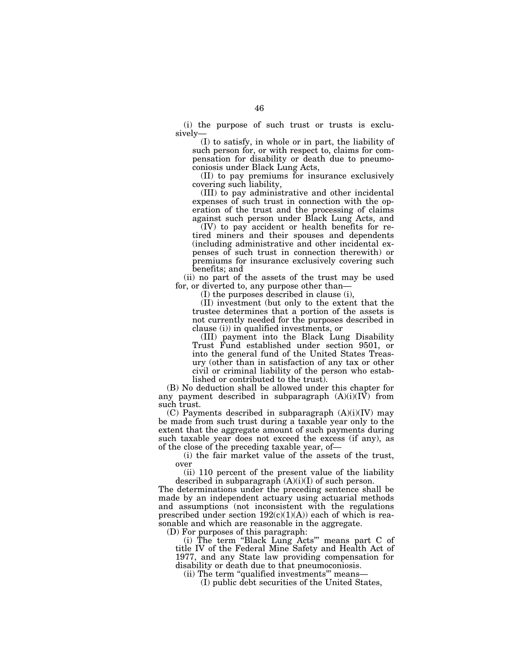(i) the purpose of such trust or trusts is exclusively—

(I) to satisfy, in whole or in part, the liability of such person for, or with respect to, claims for compensation for disability or death due to pneumoconiosis under Black Lung Acts,

(II) to pay premiums for insurance exclusively covering such liability,

(III) to pay administrative and other incidental expenses of such trust in connection with the operation of the trust and the processing of claims against such person under Black Lung Acts, and

 $(IV)$  to pay accident or health benefits for retired miners and their spouses and dependents (including administrative and other incidental expenses of such trust in connection therewith) or premiums for insurance exclusively covering such benefits; and

(ii) no part of the assets of the trust may be used for, or diverted to, any purpose other than—

(I) the purposes described in clause (i),

(II) investment (but only to the extent that the trustee determines that a portion of the assets is not currently needed for the purposes described in clause (i)) in qualified investments, or

(III) payment into the Black Lung Disability Trust Fund established under section 9501, or into the general fund of the United States Treasury (other than in satisfaction of any tax or other civil or criminal liability of the person who established or contributed to the trust).

(B) No deduction shall be allowed under this chapter for any payment described in subparagraph  $(A)(i)(I\bar{V})$  from such trust.

(C) Payments described in subparagraph (A)(i)(IV) may be made from such trust during a taxable year only to the extent that the aggregate amount of such payments during such taxable year does not exceed the excess (if any), as of the close of the preceding taxable year, of—

(i) the fair market value of the assets of the trust, over

(ii) 110 percent of the present value of the liability described in subparagraph  $(A)(i)(I)$  of such person.

The determinations under the preceding sentence shall be made by an independent actuary using actuarial methods and assumptions (not inconsistent with the regulations prescribed under section  $192(c)(1)(A)$  each of which is reasonable and which are reasonable in the aggregate.

(D) For purposes of this paragraph:

(i) The term ''Black Lung Acts''' means part C of title IV of the Federal Mine Safety and Health Act of 1977, and any State law providing compensation for disability or death due to that pneumoconiosis.

(ii) The term ''qualified investments''' means—

(I) public debt securities of the United States,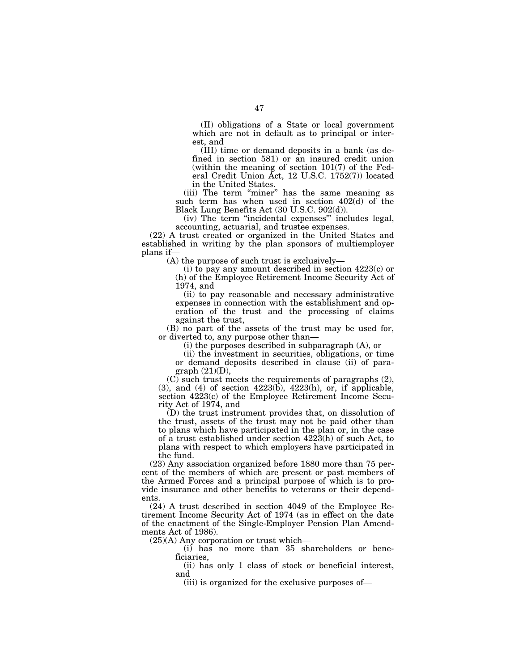(II) obligations of a State or local government which are not in default as to principal or interest, and

(III) time or demand deposits in a bank (as defined in section 581) or an insured credit union (within the meaning of section 101(7) of the Federal Credit Union Act, 12 U.S.C. 1752(7)) located in the United States.

(iii) The term "miner" has the same meaning as such term has when used in section 402(d) of the Black Lung Benefits Act (30 U.S.C. 902(d)).

(iv) The term ''incidental expenses''' includes legal, accounting, actuarial, and trustee expenses.

(22) A trust created or organized in the United States and established in writing by the plan sponsors of multiemployer plans if—

(A) the purpose of such trust is exclusively—

(i) to pay any amount described in section 4223(c) or (h) of the Employee Retirement Income Security Act of 1974, and

(ii) to pay reasonable and necessary administrative expenses in connection with the establishment and operation of the trust and the processing of claims against the trust,

(B) no part of the assets of the trust may be used for, or diverted to, any purpose other than—

(i) the purposes described in subparagraph (A), or

(ii) the investment in securities, obligations, or time or demand deposits described in clause (ii) of paragraph (21)(D),

(C) such trust meets the requirements of paragraphs (2),  $(3)$ , and  $(4)$  of section  $4223(b)$ ,  $4223(b)$ , or, if applicable, section 4223(c) of the Employee Retirement Income Security Act of 1974, and

(D) the trust instrument provides that, on dissolution of the trust, assets of the trust may not be paid other than to plans which have participated in the plan or, in the case of a trust established under section 4223(h) of such Act, to plans with respect to which employers have participated in the fund.

(23) Any association organized before 1880 more than 75 percent of the members of which are present or past members of the Armed Forces and a principal purpose of which is to provide insurance and other benefits to veterans or their dependents.

(24) A trust described in section 4049 of the Employee Retirement Income Security Act of 1974 (as in effect on the date of the enactment of the Single-Employer Pension Plan Amendments Act of 1986).

(25)(A) Any corporation or trust which—

(i) has no more than 35 shareholders or beneficiaries,

(ii) has only 1 class of stock or beneficial interest, and

(iii) is organized for the exclusive purposes of—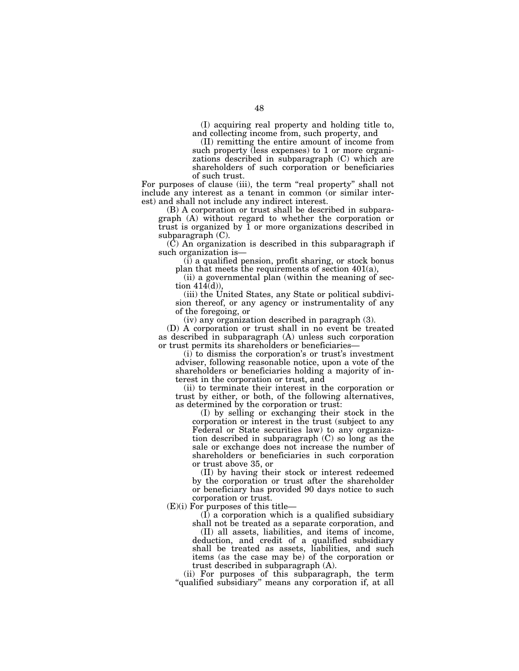(I) acquiring real property and holding title to, and collecting income from, such property, and

(II) remitting the entire amount of income from such property (less expenses) to 1 or more organizations described in subparagraph (C) which are shareholders of such corporation or beneficiaries of such trust.

For purposes of clause (iii), the term "real property" shall not include any interest as a tenant in common (or similar interest) and shall not include any indirect interest.

(B) A corporation or trust shall be described in subparagraph (A) without regard to whether the corporation or trust is organized by  $\overline{1}$  or more organizations described in subparagraph (C).

(C) An organization is described in this subparagraph if such organization is—

(i) a qualified pension, profit sharing, or stock bonus plan that meets the requirements of section 401(a),

(ii) a governmental plan (within the meaning of section 414(d)),

(iii) the United States, any State or political subdivision thereof, or any agency or instrumentality of any of the foregoing, or

(iv) any organization described in paragraph (3).

(D) A corporation or trust shall in no event be treated as described in subparagraph (A) unless such corporation or trust permits its shareholders or beneficiaries—

(i) to dismiss the corporation's or trust's investment adviser, following reasonable notice, upon a vote of the shareholders or beneficiaries holding a majority of interest in the corporation or trust, and

(ii) to terminate their interest in the corporation or trust by either, or both, of the following alternatives, as determined by the corporation or trust:

(I) by selling or exchanging their stock in the corporation or interest in the trust (subject to any Federal or State securities law) to any organization described in subparagraph (C) so long as the sale or exchange does not increase the number of shareholders or beneficiaries in such corporation or trust above 35, or

(II) by having their stock or interest redeemed by the corporation or trust after the shareholder or beneficiary has provided 90 days notice to such corporation or trust.

(E)(i) For purposes of this title—

(I) a corporation which is a qualified subsidiary

shall not be treated as a separate corporation, and (II) all assets, liabilities, and items of income, deduction, and credit of a qualified subsidiary shall be treated as assets, liabilities, and such items (as the case may be) of the corporation or trust described in subparagraph (A).

(ii) For purposes of this subparagraph, the term "qualified subsidiary" means any corporation if, at all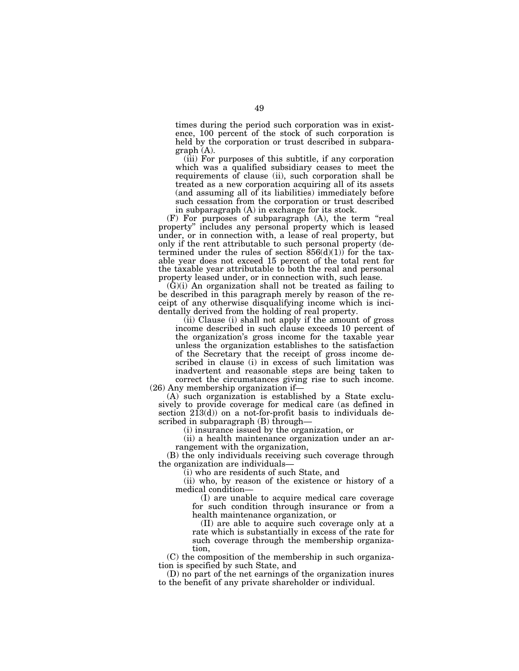times during the period such corporation was in existence, 100 percent of the stock of such corporation is held by the corporation or trust described in subparagraph (A).

(iii) For purposes of this subtitle, if any corporation which was a qualified subsidiary ceases to meet the requirements of clause (ii), such corporation shall be treated as a new corporation acquiring all of its assets (and assuming all of its liabilities) immediately before such cessation from the corporation or trust described in subparagraph (A) in exchange for its stock.

(F) For purposes of subparagraph (A), the term ''real property'' includes any personal property which is leased under, or in connection with, a lease of real property, but only if the rent attributable to such personal property (determined under the rules of section  $856(d)(1)$  for the taxable year does not exceed 15 percent of the total rent for the taxable year attributable to both the real and personal property leased under, or in connection with, such lease.

 $(G)(i)$  An organization shall not be treated as failing to be described in this paragraph merely by reason of the receipt of any otherwise disqualifying income which is incidentally derived from the holding of real property.

(ii) Clause (i) shall not apply if the amount of gross income described in such clause exceeds 10 percent of the organization's gross income for the taxable year unless the organization establishes to the satisfaction of the Secretary that the receipt of gross income described in clause (i) in excess of such limitation was inadvertent and reasonable steps are being taken to correct the circumstances giving rise to such income. (26) Any membership organization if—

(A) such organization is established by a State exclusively to provide coverage for medical care (as defined in section  $2\overline{1}3(d)$  on a not-for-profit basis to individuals described in subparagraph (B) through—

(i) insurance issued by the organization, or

(ii) a health maintenance organization under an arrangement with the organization,

(B) the only individuals receiving such coverage through the organization are individuals—

(i) who are residents of such State, and

(ii) who, by reason of the existence or history of a medical condition—

(I) are unable to acquire medical care coverage for such condition through insurance or from a health maintenance organization, or

(II) are able to acquire such coverage only at a rate which is substantially in excess of the rate for such coverage through the membership organization,

(C) the composition of the membership in such organization is specified by such State, and

(D) no part of the net earnings of the organization inures to the benefit of any private shareholder or individual.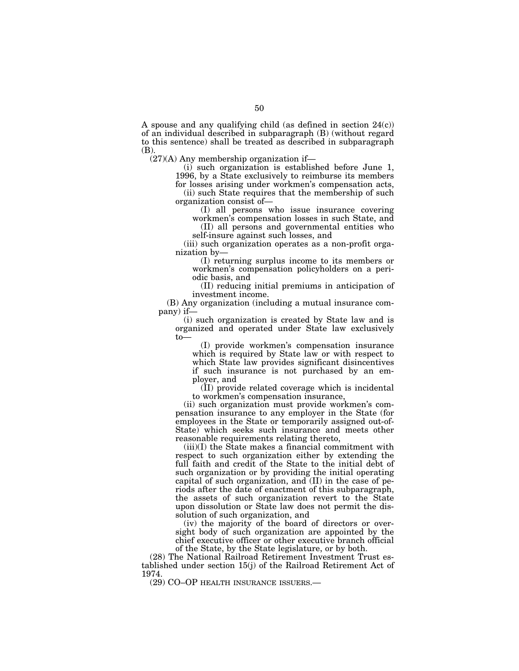A spouse and any qualifying child (as defined in section  $24(c)$ ) of an individual described in subparagraph (B) (without regard to this sentence) shall be treated as described in subparagraph (B).

(27)(A) Any membership organization if—

(i) such organization is established before June 1, 1996, by a State exclusively to reimburse its members

for losses arising under workmen's compensation acts, (ii) such State requires that the membership of such organization consist of—

(I) all persons who issue insurance covering workmen's compensation losses in such State, and

(II) all persons and governmental entities who self-insure against such losses, and

(iii) such organization operates as a non-profit organization by—

(I) returning surplus income to its members or workmen's compensation policyholders on a periodic basis, and

(II) reducing initial premiums in anticipation of investment income.

(B) Any organization (including a mutual insurance company) if—

(i) such organization is created by State law and is organized and operated under State law exclusively to—

(I) provide workmen's compensation insurance which is required by State law or with respect to which State law provides significant disincentives if such insurance is not purchased by an employer, and

(II) provide related coverage which is incidental to workmen's compensation insurance,

(ii) such organization must provide workmen's compensation insurance to any employer in the State (for employees in the State or temporarily assigned out-of-State) which seeks such insurance and meets other reasonable requirements relating thereto,

(iii)(I) the State makes a financial commitment with respect to such organization either by extending the full faith and credit of the State to the initial debt of such organization or by providing the initial operating capital of such organization, and (II) in the case of periods after the date of enactment of this subparagraph, the assets of such organization revert to the State upon dissolution or State law does not permit the dissolution of such organization, and

(iv) the majority of the board of directors or oversight body of such organization are appointed by the chief executive officer or other executive branch official of the State, by the State legislature, or by both.

(28) The National Railroad Retirement Investment Trust established under section 15(j) of the Railroad Retirement Act of 1974.

(29) CO–OP HEALTH INSURANCE ISSUERS.—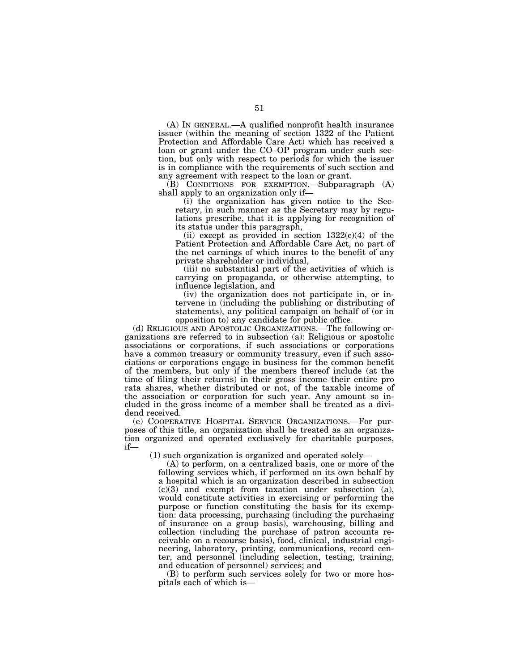(A) IN GENERAL.—A qualified nonprofit health insurance issuer (within the meaning of section 1322 of the Patient Protection and Affordable Care Act) which has received a loan or grant under the CO–OP program under such section, but only with respect to periods for which the issuer is in compliance with the requirements of such section and any agreement with respect to the loan or grant.

(B) CONDITIONS FOR EXEMPTION.—Subparagraph (A) shall apply to an organization only if—

(i) the organization has given notice to the Secretary, in such manner as the Secretary may by regulations prescribe, that it is applying for recognition of its status under this paragraph,

(ii) except as provided in section  $1322(c)(4)$  of the Patient Protection and Affordable Care Act, no part of the net earnings of which inures to the benefit of any private shareholder or individual,

(iii) no substantial part of the activities of which is carrying on propaganda, or otherwise attempting, to influence legislation, and

(iv) the organization does not participate in, or intervene in (including the publishing or distributing of statements), any political campaign on behalf of (or in opposition to) any candidate for public office.

(d) RELIGIOUS AND APOSTOLIC ORGANIZATIONS.—The following organizations are referred to in subsection (a): Religious or apostolic associations or corporations, if such associations or corporations have a common treasury or community treasury, even if such associations or corporations engage in business for the common benefit of the members, but only if the members thereof include (at the time of filing their returns) in their gross income their entire pro rata shares, whether distributed or not, of the taxable income of the association or corporation for such year. Any amount so included in the gross income of a member shall be treated as a dividend received.

(e) COOPERATIVE HOSPITAL SERVICE ORGANIZATIONS.—For purposes of this title, an organization shall be treated as an organization organized and operated exclusively for charitable purposes, if—

(1) such organization is organized and operated solely—

(A) to perform, on a centralized basis, one or more of the following services which, if performed on its own behalf by a hospital which is an organization described in subsection  $(c)(3)$  and exempt from taxation under subsection (a), would constitute activities in exercising or performing the purpose or function constituting the basis for its exemption: data processing, purchasing (including the purchasing of insurance on a group basis), warehousing, billing and collection (including the purchase of patron accounts receivable on a recourse basis), food, clinical, industrial engineering, laboratory, printing, communications, record center, and personnel (including selection, testing, training, and education of personnel) services; and

(B) to perform such services solely for two or more hospitals each of which is—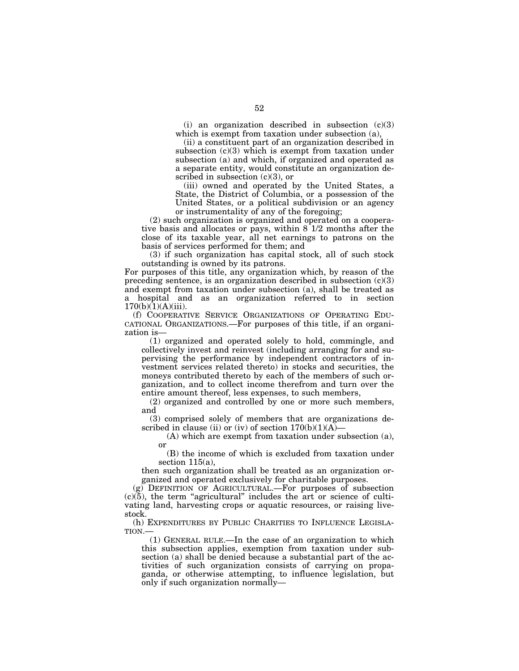(i) an organization described in subsection (c)(3) which is exempt from taxation under subsection (a),

(ii) a constituent part of an organization described in subsection  $(c)(3)$  which is exempt from taxation under subsection (a) and which, if organized and operated as a separate entity, would constitute an organization described in subsection  $(c)(3)$ , or

(iii) owned and operated by the United States, a State, the District of Columbia, or a possession of the United States, or a political subdivision or an agency or instrumentality of any of the foregoing;

(2) such organization is organized and operated on a cooperative basis and allocates or pays, within  $8<sup>-1/2</sup>$  months after the close of its taxable year, all net earnings to patrons on the basis of services performed for them; and

(3) if such organization has capital stock, all of such stock outstanding is owned by its patrons.

For purposes of this title, any organization which, by reason of the preceding sentence, is an organization described in subsection  $(c)(3)$ and exempt from taxation under subsection (a), shall be treated as a hospital and as an organization referred to in section  $170(b)(1)(A)(iii)$ .

(f) COOPERATIVE SERVICE ORGANIZATIONS OF OPERATING EDU-CATIONAL ORGANIZATIONS.—For purposes of this title, if an organization is—

(1) organized and operated solely to hold, commingle, and collectively invest and reinvest (including arranging for and supervising the performance by independent contractors of investment services related thereto) in stocks and securities, the moneys contributed thereto by each of the members of such organization, and to collect income therefrom and turn over the entire amount thereof, less expenses, to such members,

(2) organized and controlled by one or more such members, and

(3) comprised solely of members that are organizations described in clause (ii) or (iv) of section  $170(b)(1)(A)$ 

(A) which are exempt from taxation under subsection (a), or

(B) the income of which is excluded from taxation under section 115(a),

then such organization shall be treated as an organization organized and operated exclusively for charitable purposes.

(g) DEFINITION OF AGRICULTURAL.—For purposes of subsection  $(c)(5)$ , the term "agricultural" includes the art or science of cultivating land, harvesting crops or aquatic resources, or raising livestock.

(h) EXPENDITURES BY PUBLIC CHARITIES TO INFLUENCE LEGISLA-TION.—

(1) GENERAL RULE.—In the case of an organization to which this subsection applies, exemption from taxation under subsection (a) shall be denied because a substantial part of the activities of such organization consists of carrying on propaganda, or otherwise attempting, to influence legislation, but only if such organization normally—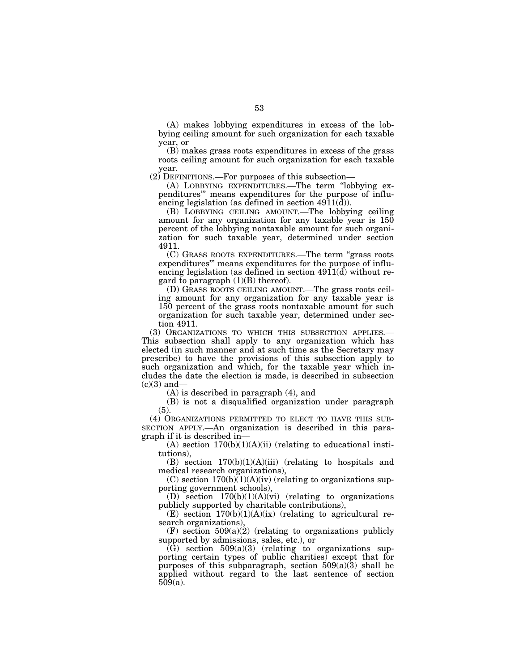(A) makes lobbying expenditures in excess of the lobbying ceiling amount for such organization for each taxable year, or

(B) makes grass roots expenditures in excess of the grass roots ceiling amount for such organization for each taxable year.

(2) DEFINITIONS.—For purposes of this subsection—

(A) LOBBYING EXPENDITURES.—The term ''lobbying expenditures''' means expenditures for the purpose of influencing legislation (as defined in section 4911(d)).

(B) LOBBYING CEILING AMOUNT.—The lobbying ceiling amount for any organization for any taxable year is 150 percent of the lobbying nontaxable amount for such organization for such taxable year, determined under section 4911.

(C) GRASS ROOTS EXPENDITURES.—The term ''grass roots expenditures''' means expenditures for the purpose of influencing legislation (as defined in section 4911(d) without regard to paragraph  $(1)(B)$  thereof).

(D) GRASS ROOTS CEILING AMOUNT.—The grass roots ceiling amount for any organization for any taxable year is 150 percent of the grass roots nontaxable amount for such organization for such taxable year, determined under section 4911.

(3) ORGANIZATIONS TO WHICH THIS SUBSECTION APPLIES.— This subsection shall apply to any organization which has elected (in such manner and at such time as the Secretary may prescribe) to have the provisions of this subsection apply to such organization and which, for the taxable year which includes the date the election is made, is described in subsection  $(c)(3)$  and-

(A) is described in paragraph (4), and

(B) is not a disqualified organization under paragraph (5).

(4) ORGANIZATIONS PERMITTED TO ELECT TO HAVE THIS SUB-SECTION APPLY.—An organization is described in this paragraph if it is described in—

 $(A)$  section  $170(b)(1)(A)(ii)$  (relating to educational institutions),

(B) section  $170(b)(1)(A)(iii)$  (relating to hospitals and medical research organizations),

(C) section  $170(b)(1)(A)(iv)$  (relating to organizations supporting government schools),

(D) section 170(b)(1)(A)(vi) (relating to organizations publicly supported by charitable contributions),

(E) section  $170(b)(1)(A)(ix)$  (relating to agricultural research organizations),

(F) section  $509(a)(2)$  (relating to organizations publicly supported by admissions, sales, etc.), or

 $(\tilde{G})$  section 509(a)(3) (relating to organizations supporting certain types of public charities) except that for purposes of this subparagraph, section  $509(a)(3)$  shall be applied without regard to the last sentence of section 509(a).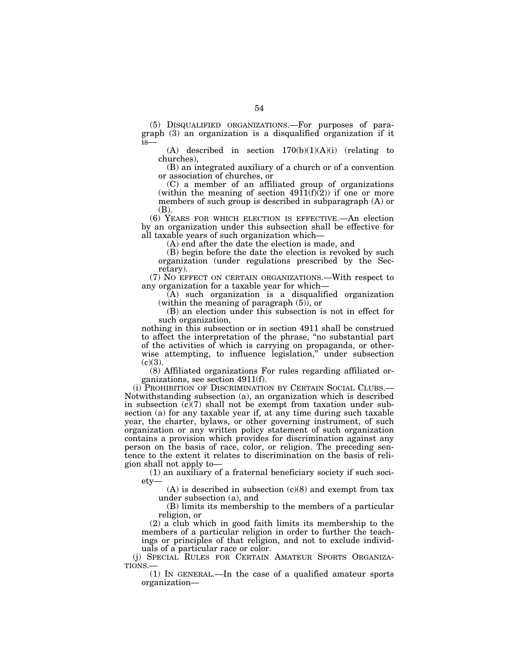(5) DISQUALIFIED ORGANIZATIONS.—For purposes of paragraph (3) an organization is a disqualified organization if it is—

(A) described in section  $170(b)(1)(A)(i)$  (relating to churches),

(B) an integrated auxiliary of a church or of a convention or association of churches, or

(C) a member of an affiliated group of organizations (within the meaning of section  $4911(f)(2)$ ) if one or more members of such group is described in subparagraph (A) or (B).

(6) YEARS FOR WHICH ELECTION IS EFFECTIVE.—An election by an organization under this subsection shall be effective for all taxable years of such organization which—

(A) end after the date the election is made, and

(B) begin before the date the election is revoked by such organization (under regulations prescribed by the Secretary).

(7) NO EFFECT ON CERTAIN ORGANIZATIONS.—With respect to any organization for a taxable year for which—

(A) such organization is a disqualified organization (within the meaning of paragraph (5)), or

(B) an election under this subsection is not in effect for such organization,

nothing in this subsection or in section 4911 shall be construed to affect the interpretation of the phrase, ''no substantial part of the activities of which is carrying on propaganda, or otherwise attempting, to influence legislation," under subsection  $(c)(3)$ .

(8) Affiliated organizations For rules regarding affiliated organizations, see section 4911(f).

(i) PROHIBITION OF DISCRIMINATION BY CERTAIN SOCIAL CLUBS.— Notwithstanding subsection (a), an organization which is described in subsection  $(c)(7)$  shall not be exempt from taxation under subsection (a) for any taxable year if, at any time during such taxable year, the charter, bylaws, or other governing instrument, of such organization or any written policy statement of such organization contains a provision which provides for discrimination against any person on the basis of race, color, or religion. The preceding sentence to the extent it relates to discrimination on the basis of religion shall not apply to—

(1) an auxiliary of a fraternal beneficiary society if such society—

 $(A)$  is described in subsection  $(c)(8)$  and exempt from tax under subsection (a), and

(B) limits its membership to the members of a particular religion, or

(2) a club which in good faith limits its membership to the members of a particular religion in order to further the teachings or principles of that religion, and not to exclude individuals of a particular race or color.

(j) SPECIAL RULES FOR CERTAIN AMATEUR SPORTS ORGANIZATIONS.—

(1) IN GENERAL.—In the case of a qualified amateur sports organization—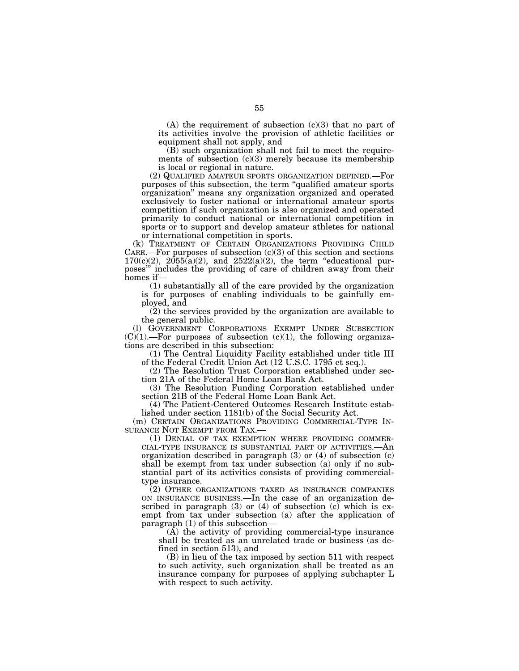$(A)$  the requirement of subsection  $(c)(3)$  that no part of its activities involve the provision of athletic facilities or equipment shall not apply, and

(B) such organization shall not fail to meet the requirements of subsection  $(c)(3)$  merely because its membership is local or regional in nature.

(2) QUALIFIED AMATEUR SPORTS ORGANIZATION DEFINED.—For purposes of this subsection, the term ''qualified amateur sports organization'' means any organization organized and operated exclusively to foster national or international amateur sports competition if such organization is also organized and operated primarily to conduct national or international competition in sports or to support and develop amateur athletes for national or international competition in sports.

(k) TREATMENT OF CERTAIN ORGANIZATIONS PROVIDING CHILD CARE.—For purposes of subsection  $(c)(3)$  of this section and sections  $170(c)(2)$ ,  $2055(a)(2)$ , and  $2522(a)(2)$ , the term "educational purposes''' includes the providing of care of children away from their homes if—

(1) substantially all of the care provided by the organization is for purposes of enabling individuals to be gainfully employed, and

(2) the services provided by the organization are available to the general public.

(l) GOVERNMENT CORPORATIONS EXEMPT UNDER SUBSECTION  $(C)(1)$ .—For purposes of subsection  $(c)(1)$ , the following organizations are described in this subsection:

(1) The Central Liquidity Facility established under title III of the Federal Credit Union Act (12 U.S.C. 1795 et seq.).

(2) The Resolution Trust Corporation established under section 21A of the Federal Home Loan Bank Act.

(3) The Resolution Funding Corporation established under section 21B of the Federal Home Loan Bank Act.

(4) The Patient-Centered Outcomes Research Institute established under section 1181(b) of the Social Security Act.

(m) CERTAIN ORGANIZATIONS PROVIDING COMMERCIAL-TYPE IN-<br>SURANCE NOT EXEMPT FROM TAX.—

(1) DENIAL OF TAX EXEMPTION WHERE PROVIDING COMMER-CIAL-TYPE INSURANCE IS SUBSTANTIAL PART OF ACTIVITIES.—An organization described in paragraph (3) or (4) of subsection (c) shall be exempt from tax under subsection (a) only if no substantial part of its activities consists of providing commercialtype insurance.

(2) OTHER ORGANIZATIONS TAXED AS INSURANCE COMPANIES ON INSURANCE BUSINESS.—In the case of an organization described in paragraph (3) or (4) of subsection  $(c)$  which is exempt from tax under subsection (a) after the application of paragraph (1) of this subsection—

 $(A)$  the activity of providing commercial-type insurance shall be treated as an unrelated trade or business (as defined in section 513), and

(B) in lieu of the tax imposed by section 511 with respect to such activity, such organization shall be treated as an insurance company for purposes of applying subchapter L with respect to such activity.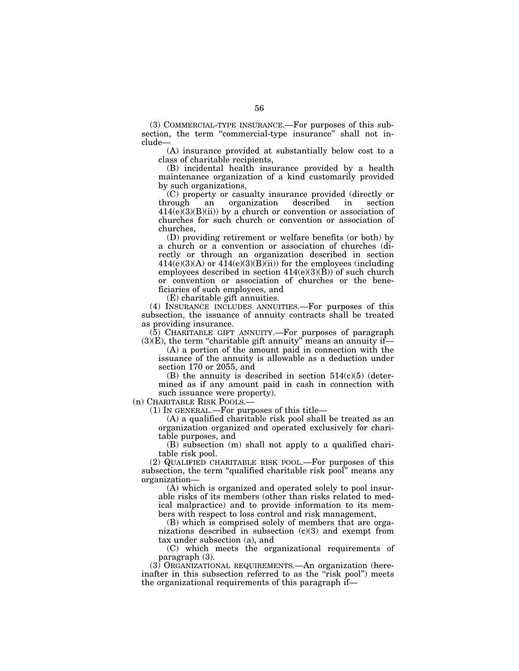(3) COMMERCIAL-TYPE INSURANCE.—For purposes of this subsection, the term "commercial-type insurance" shall not include—

(A) insurance provided at substantially below cost to a class of charitable recipients,

(B) incidental health insurance provided by a health maintenance organization of a kind customarily provided by such organizations,

(C) property or casualty insurance provided (directly or through an organization described in section  $414(e)(3)(B)(ii)$  by a church or convention or association of churches for such church or convention or association of churches,

(D) providing retirement or welfare benefits (or both) by a church or a convention or association of churches (directly or through an organization described in section  $414(e)(3)(A)$  or  $414(e)(3)(B)(ii)$  for the employees (including employees described in section  $414(e)(3)(B)$  of such church or convention or association of churches or the beneficiaries of such employees, and

(E) charitable gift annuities.

(4) INSURANCE INCLUDES ANNUITIES.—For purposes of this subsection, the issuance of annuity contracts shall be treated as providing insurance.

(5) CHARITABLE GIFT ANNUITY.—For purposes of paragraph  $(3)(E)$ , the term "charitable gift annuity" means an annuity if—

(A) a portion of the amount paid in connection with the issuance of the annuity is allowable as a deduction under section 170 or 2055, and

(B) the annuity is described in section  $514(c)(5)$  (determined as if any amount paid in cash in connection with such issuance were property).

(n) CHARITABLE RISK POOLS.—

(1) IN GENERAL.—For purposes of this title—

(A) a qualified charitable risk pool shall be treated as an organization organized and operated exclusively for charitable purposes, and

(B) subsection (m) shall not apply to a qualified charitable risk pool.

(2) QUALIFIED CHARITABLE RISK POOL.—For purposes of this subsection, the term "qualified charitable risk pool" means any organization—

(A) which is organized and operated solely to pool insurable risks of its members (other than risks related to medical malpractice) and to provide information to its members with respect to loss control and risk management,

(B) which is comprised solely of members that are organizations described in subsection (c)(3) and exempt from tax under subsection (a), and

(C) which meets the organizational requirements of paragraph (3).

(3) ORGANIZATIONAL REQUIREMENTS.—An organization (hereinafter in this subsection referred to as the "risk pool") meets the organizational requirements of this paragraph if—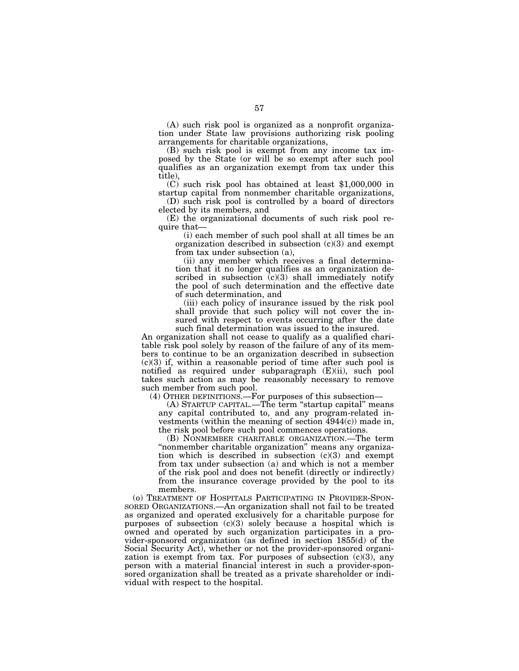(A) such risk pool is organized as a nonprofit organization under State law provisions authorizing risk pooling arrangements for charitable organizations,

(B) such risk pool is exempt from any income tax imposed by the State (or will be so exempt after such pool qualifies as an organization exempt from tax under this title),

(C) such risk pool has obtained at least \$1,000,000 in startup capital from nonmember charitable organizations,

(D) such risk pool is controlled by a board of directors elected by its members, and

(E) the organizational documents of such risk pool require that—

(i) each member of such pool shall at all times be an organization described in subsection  $(c)(3)$  and exempt from tax under subsection (a),

(ii) any member which receives a final determination that it no longer qualifies as an organization described in subsection  $(c)(3)$  shall immediately notify the pool of such determination and the effective date of such determination, and

(iii) each policy of insurance issued by the risk pool shall provide that such policy will not cover the insured with respect to events occurring after the date such final determination was issued to the insured.

An organization shall not cease to qualify as a qualified charitable risk pool solely by reason of the failure of any of its members to continue to be an organization described in subsection (c)(3) if, within a reasonable period of time after such pool is notified as required under subparagraph (E)(ii), such pool takes such action as may be reasonably necessary to remove such member from such pool.

(4) OTHER DEFINITIONS.—For purposes of this subsection—

(A) STARTUP CAPITAL.—The term ''startup capital'' means any capital contributed to, and any program-related investments (within the meaning of section 4944(c)) made in, the risk pool before such pool commences operations.

(B) NONMEMBER CHARITABLE ORGANIZATION.—The term ''nonmember charitable organization'' means any organization which is described in subsection  $(c)(3)$  and exempt from tax under subsection (a) and which is not a member of the risk pool and does not benefit (directly or indirectly) from the insurance coverage provided by the pool to its members.

(o) TREATMENT OF HOSPITALS PARTICIPATING IN PROVIDER-SPON-SORED ORGANIZATIONS.—An organization shall not fail to be treated as organized and operated exclusively for a charitable purpose for purposes of subsection (c)(3) solely because a hospital which is owned and operated by such organization participates in a provider-sponsored organization (as defined in section 1855(d) of the Social Security Act), whether or not the provider-sponsored organization is exempt from tax. For purposes of subsection  $(c)(3)$ , any person with a material financial interest in such a provider-sponsored organization shall be treated as a private shareholder or individual with respect to the hospital.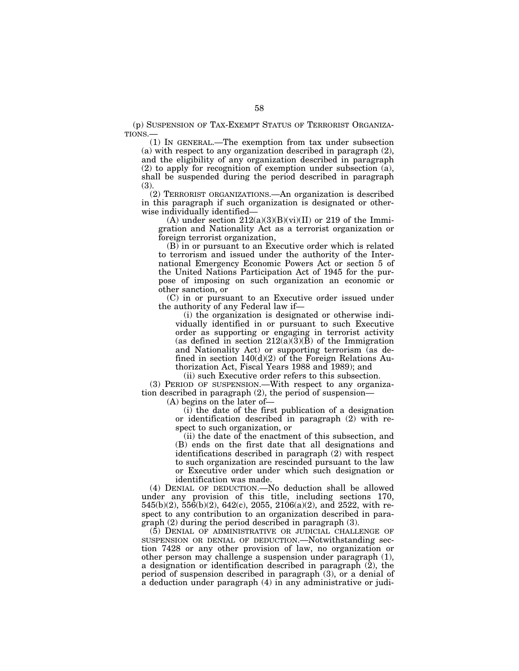(p) SUSPENSION OF TAX-EXEMPT STATUS OF TERRORIST ORGANIZA-TIONS.—

(1) IN GENERAL.—The exemption from tax under subsection (a) with respect to any organization described in paragraph (2), and the eligibility of any organization described in paragraph (2) to apply for recognition of exemption under subsection (a), shall be suspended during the period described in paragraph (3).

(2) TERRORIST ORGANIZATIONS.—An organization is described in this paragraph if such organization is designated or otherwise individually identified—

(A) under section  $212(a)(3)(B)(vi)(II)$  or 219 of the Immigration and Nationality Act as a terrorist organization or foreign terrorist organization,

(B) in or pursuant to an Executive order which is related to terrorism and issued under the authority of the International Emergency Economic Powers Act or section 5 of the United Nations Participation Act of 1945 for the purpose of imposing on such organization an economic or other sanction, or

(C) in or pursuant to an Executive order issued under the authority of any Federal law if—

(i) the organization is designated or otherwise individually identified in or pursuant to such Executive order as supporting or engaging in terrorist activity (as defined in section  $212(a)(3)(B)$  of the Immigration and Nationality Act) or supporting terrorism (as defined in section 140(d)(2) of the Foreign Relations Authorization Act, Fiscal Years 1988 and 1989); and

(ii) such Executive order refers to this subsection.

(3) PERIOD OF SUSPENSION.—With respect to any organization described in paragraph (2), the period of suspension—

(A) begins on the later of—

(i) the date of the first publication of a designation or identification described in paragraph (2) with respect to such organization, or

(ii) the date of the enactment of this subsection, and (B) ends on the first date that all designations and identifications described in paragraph (2) with respect to such organization are rescinded pursuant to the law or Executive order under which such designation or identification was made.

(4) DENIAL OF DEDUCTION.—No deduction shall be allowed under any provision of this title, including sections 170, 545(b)(2), 556(b)(2), 642(c), 2055, 2106(a)(2), and 2522, with respect to any contribution to an organization described in paragraph (2) during the period described in paragraph (3).

(5) DENIAL OF ADMINISTRATIVE OR JUDICIAL CHALLENGE OF SUSPENSION OR DENIAL OF DEDUCTION.—Notwithstanding section 7428 or any other provision of law, no organization or other person may challenge a suspension under paragraph (1), a designation or identification described in paragraph (2), the period of suspension described in paragraph (3), or a denial of a deduction under paragraph (4) in any administrative or judi-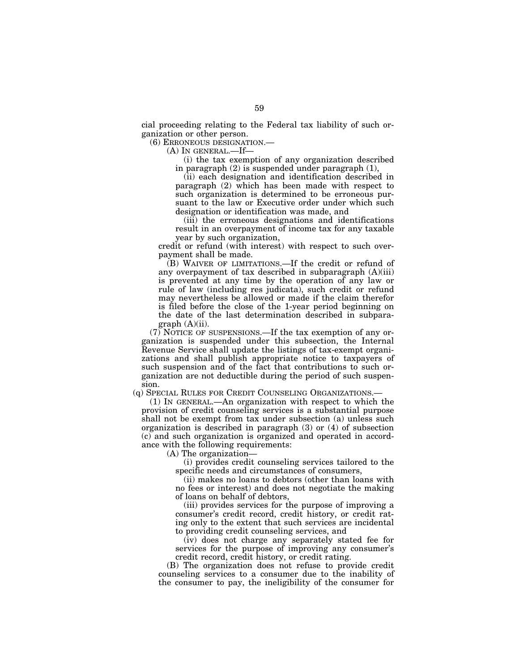cial proceeding relating to the Federal tax liability of such organization or other person.

(6) ERRONEOUS DESIGNATION.—

(A) IN GENERAL.—If—

(i) the tax exemption of any organization described in paragraph (2) is suspended under paragraph (1),

(ii) each designation and identification described in paragraph (2) which has been made with respect to such organization is determined to be erroneous pursuant to the law or Executive order under which such designation or identification was made, and

(iii) the erroneous designations and identifications result in an overpayment of income tax for any taxable year by such organization,

credit or refund (with interest) with respect to such overpayment shall be made.

(B) WAIVER OF LIMITATIONS.—If the credit or refund of any overpayment of tax described in subparagraph (A)(iii) is prevented at any time by the operation of any law or rule of law (including res judicata), such credit or refund may nevertheless be allowed or made if the claim therefor is filed before the close of the 1-year period beginning on the date of the last determination described in subparagraph  $(A)(ii)$ .

(7) NOTICE OF SUSPENSIONS.—If the tax exemption of any organization is suspended under this subsection, the Internal Revenue Service shall update the listings of tax-exempt organizations and shall publish appropriate notice to taxpayers of such suspension and of the fact that contributions to such organization are not deductible during the period of such suspension.

(q) SPECIAL RULES FOR CREDIT COUNSELING ORGANIZATIONS.—

(1) IN GENERAL.—An organization with respect to which the provision of credit counseling services is a substantial purpose shall not be exempt from tax under subsection (a) unless such organization is described in paragraph (3) or (4) of subsection (c) and such organization is organized and operated in accordance with the following requirements:

(A) The organization—

(i) provides credit counseling services tailored to the specific needs and circumstances of consumers,

(ii) makes no loans to debtors (other than loans with no fees or interest) and does not negotiate the making of loans on behalf of debtors,

(iii) provides services for the purpose of improving a consumer's credit record, credit history, or credit rating only to the extent that such services are incidental to providing credit counseling services, and

(iv) does not charge any separately stated fee for services for the purpose of improving any consumer's credit record, credit history, or credit rating.

(B) The organization does not refuse to provide credit counseling services to a consumer due to the inability of the consumer to pay, the ineligibility of the consumer for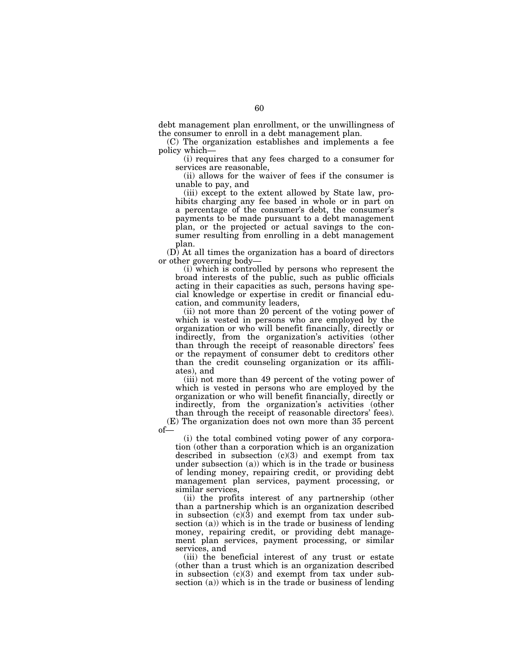debt management plan enrollment, or the unwillingness of the consumer to enroll in a debt management plan.

(C) The organization establishes and implements a fee policy which—

(i) requires that any fees charged to a consumer for services are reasonable,

(ii) allows for the waiver of fees if the consumer is unable to pay, and

(iii) except to the extent allowed by State law, prohibits charging any fee based in whole or in part on a percentage of the consumer's debt, the consumer's payments to be made pursuant to a debt management plan, or the projected or actual savings to the consumer resulting from enrolling in a debt management plan.

(D) At all times the organization has a board of directors or other governing body—

(i) which is controlled by persons who represent the broad interests of the public, such as public officials acting in their capacities as such, persons having special knowledge or expertise in credit or financial education, and community leaders,

(ii) not more than 20 percent of the voting power of which is vested in persons who are employed by the organization or who will benefit financially, directly or indirectly, from the organization's activities (other than through the receipt of reasonable directors' fees or the repayment of consumer debt to creditors other than the credit counseling organization or its affiliates), and

(iii) not more than 49 percent of the voting power of which is vested in persons who are employed by the organization or who will benefit financially, directly or indirectly, from the organization's activities (other than through the receipt of reasonable directors' fees).

(E) The organization does not own more than 35 percent of—

(i) the total combined voting power of any corporation (other than a corporation which is an organization described in subsection  $(c)(3)$  and exempt from tax under subsection (a)) which is in the trade or business of lending money, repairing credit, or providing debt management plan services, payment processing, or similar services,

(ii) the profits interest of any partnership (other than a partnership which is an organization described in subsection  $(c)(3)$  and exempt from tax under subsection (a)) which is in the trade or business of lending money, repairing credit, or providing debt management plan services, payment processing, or similar services, and

(iii) the beneficial interest of any trust or estate (other than a trust which is an organization described in subsection (c)(3) and exempt from tax under subsection (a)) which is in the trade or business of lending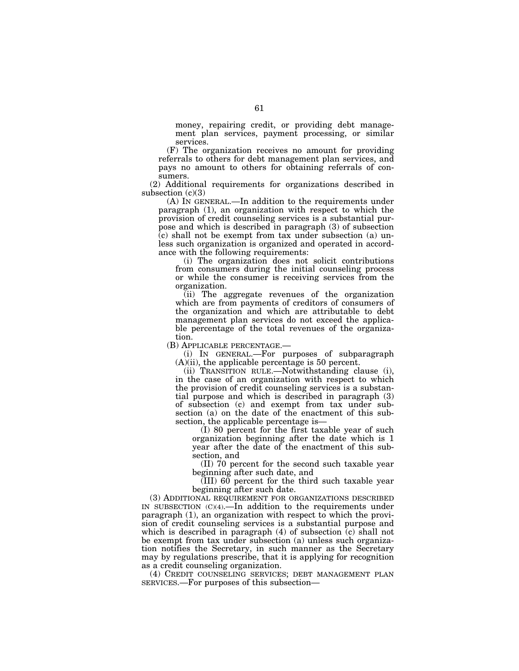money, repairing credit, or providing debt management plan services, payment processing, or similar services.

(F) The organization receives no amount for providing referrals to others for debt management plan services, and pays no amount to others for obtaining referrals of consumers.

(2) Additional requirements for organizations described in subsection  $(c)(3)$ 

(A) IN GENERAL.—In addition to the requirements under paragraph (1), an organization with respect to which the provision of credit counseling services is a substantial purpose and which is described in paragraph (3) of subsection  $(c)$  shall not be exempt from tax under subsection (a) unless such organization is organized and operated in accordance with the following requirements:

(i) The organization does not solicit contributions from consumers during the initial counseling process or while the consumer is receiving services from the organization.

(ii) The aggregate revenues of the organization which are from payments of creditors of consumers of the organization and which are attributable to debt management plan services do not exceed the applicable percentage of the total revenues of the organiza-

tion.<br>(B) APPLICABLE PERCENTAGE.—

(i) IN GENERAL.—For purposes of subparagraph (A)(ii), the applicable percentage is 50 percent.

(ii) TRANSITION RULE.—Notwithstanding clause (i), in the case of an organization with respect to which the provision of credit counseling services is a substantial purpose and which is described in paragraph (3) of subsection (c) and exempt from tax under subsection (a) on the date of the enactment of this subsection, the applicable percentage is—

(I) 80 percent for the first taxable year of such organization beginning after the date which is 1 year after the date of the enactment of this subsection, and

(II) 70 percent for the second such taxable year beginning after such date, and

 $\overline{\text{(III)}}$  60 percent for the third such taxable year beginning after such date.

(3) ADDITIONAL REQUIREMENT FOR ORGANIZATIONS DESCRIBED IN SUBSECTION (C)(4).—In addition to the requirements under paragraph (1), an organization with respect to which the provision of credit counseling services is a substantial purpose and which is described in paragraph  $(4)$  of subsection  $(c)$  shall not be exempt from tax under subsection (a) unless such organization notifies the Secretary, in such manner as the Secretary may by regulations prescribe, that it is applying for recognition as a credit counseling organization.

(4) CREDIT COUNSELING SERVICES; DEBT MANAGEMENT PLAN SERVICES.—For purposes of this subsection—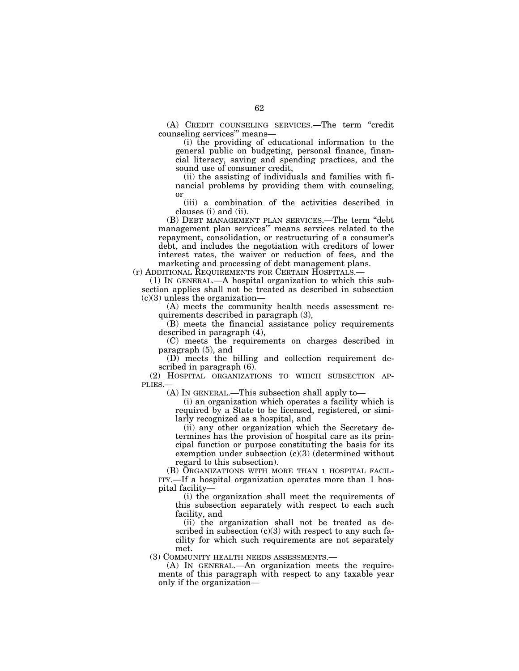(A) CREDIT COUNSELING SERVICES.—The term ''credit counseling services''' means—

(i) the providing of educational information to the general public on budgeting, personal finance, financial literacy, saving and spending practices, and the sound use of consumer credit,

(ii) the assisting of individuals and families with financial problems by providing them with counseling, or

(iii) a combination of the activities described in clauses (i) and (ii).

(B) DEBT MANAGEMENT PLAN SERVICES.—The term ''debt management plan services''' means services related to the repayment, consolidation, or restructuring of a consumer's debt, and includes the negotiation with creditors of lower interest rates, the waiver or reduction of fees, and the marketing and processing of debt management plans.

(r) ADDITIONAL REQUIREMENTS FOR CERTAIN HOSPITALS.—

(1) IN GENERAL.—A hospital organization to which this subsection applies shall not be treated as described in subsection  $(c)(3)$  unless the organization—

(A) meets the community health needs assessment requirements described in paragraph (3),

(B) meets the financial assistance policy requirements described in paragraph (4),

(C) meets the requirements on charges described in paragraph (5), and

(D) meets the billing and collection requirement described in paragraph (6).

(2) HOSPITAL ORGANIZATIONS TO WHICH SUBSECTION AP-PLIES.—

(A) IN GENERAL.—This subsection shall apply to—

(i) an organization which operates a facility which is required by a State to be licensed, registered, or similarly recognized as a hospital, and

(ii) any other organization which the Secretary determines has the provision of hospital care as its principal function or purpose constituting the basis for its exemption under subsection (c)(3) (determined without regard to this subsection).

(B) ORGANIZATIONS WITH MORE THAN 1 HOSPITAL FACIL-ITY.—If a hospital organization operates more than 1 hospital facility—

(i) the organization shall meet the requirements of this subsection separately with respect to each such facility, and

(ii) the organization shall not be treated as described in subsection  $(c)(3)$  with respect to any such facility for which such requirements are not separately met.

(3) COMMUNITY HEALTH NEEDS ASSESSMENTS.—

(A) IN GENERAL.—An organization meets the requirements of this paragraph with respect to any taxable year only if the organization—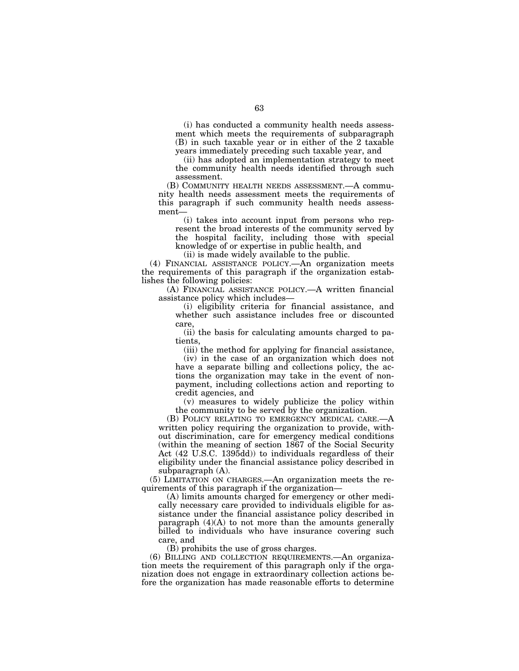(i) has conducted a community health needs assessment which meets the requirements of subparagraph (B) in such taxable year or in either of the 2 taxable years immediately preceding such taxable year, and

(ii) has adopted an implementation strategy to meet the community health needs identified through such assessment.

(B) COMMUNITY HEALTH NEEDS ASSESSMENT.—A community health needs assessment meets the requirements of this paragraph if such community health needs assessment—

(i) takes into account input from persons who represent the broad interests of the community served by the hospital facility, including those with special knowledge of or expertise in public health, and

(ii) is made widely available to the public.

(4) FINANCIAL ASSISTANCE POLICY.—An organization meets the requirements of this paragraph if the organization establishes the following policies:

(A) FINANCIAL ASSISTANCE POLICY.—A written financial assistance policy which includes—

(i) eligibility criteria for financial assistance, and whether such assistance includes free or discounted care,

(ii) the basis for calculating amounts charged to patients,

(iii) the method for applying for financial assistance,

(iv) in the case of an organization which does not have a separate billing and collections policy, the actions the organization may take in the event of nonpayment, including collections action and reporting to credit agencies, and

(v) measures to widely publicize the policy within the community to be served by the organization.

(B) POLICY RELATING TO EMERGENCY MEDICAL CARE.written policy requiring the organization to provide, without discrimination, care for emergency medical conditions (within the meaning of section 1867 of the Social Security Act (42 U.S.C. 1395dd)) to individuals regardless of their eligibility under the financial assistance policy described in subparagraph (A).

(5) LIMITATION ON CHARGES.—An organization meets the requirements of this paragraph if the organization—

(A) limits amounts charged for emergency or other medically necessary care provided to individuals eligible for assistance under the financial assistance policy described in paragraph  $(4)(A)$  to not more than the amounts generally billed to individuals who have insurance covering such care, and

(B) prohibits the use of gross charges.

(6) BILLING AND COLLECTION REQUIREMENTS.—An organization meets the requirement of this paragraph only if the organization does not engage in extraordinary collection actions before the organization has made reasonable efforts to determine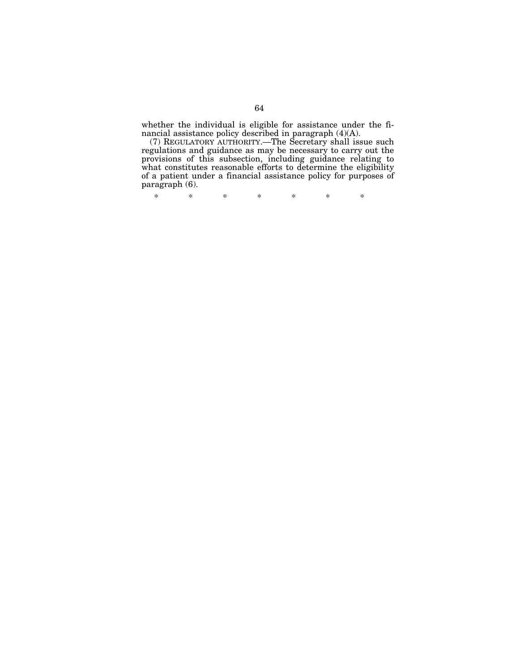whether the individual is eligible for assistance under the financial assistance policy described in paragraph (4)(A).

(7) REGULATORY AUTHORITY.—The Secretary shall issue such regulations and guidance as may be necessary to carry out the provisions of this subsection, including guidance relating to what constitutes reasonable efforts to determine the eligibility of a patient under a financial assistance policy for purposes of paragraph (6).

\* \* \* \* \* \* \*